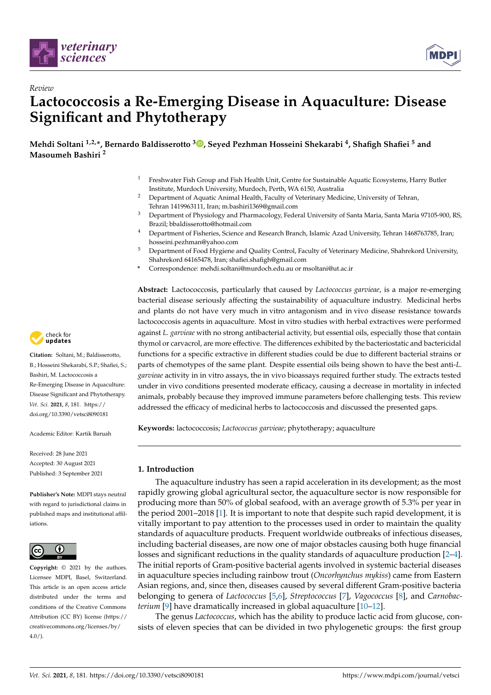

*Review*



# **Lactococcosis a Re-Emerging Disease in Aquaculture: Disease Significant and Phytotherapy**

**Mehdi Soltani 1,2,\*, Bernardo Baldisserotto <sup>3</sup> [,](https://orcid.org/0000-0002-8770-0100) Seyed Pezhman Hosseini Shekarabi <sup>4</sup> , Shafigh Shafiei <sup>5</sup> and Masoumeh Bashiri <sup>2</sup>**

- <sup>1</sup> Freshwater Fish Group and Fish Health Unit, Centre for Sustainable Aquatic Ecosystems, Harry Butler Institute, Murdoch University, Murdoch, Perth, WA 6150, Australia
- <sup>2</sup> Department of Aquatic Animal Health, Faculty of Veterinary Medicine, University of Tehran, Tehran 1419963111, Iran; m.bashiri1369@gmail.com
- <sup>3</sup> Department of Physiology and Pharmacology, Federal University of Santa Maria, Santa Maria 97105-900, RS, Brazil; bbaldisserotto@hotmail.com
- <sup>4</sup> Department of Fisheries, Science and Research Branch, Islamic Azad University, Tehran 1468763785, Iran; hosseini.pezhman@yahoo.com
- <sup>5</sup> Department of Food Hygiene and Quality Control, Faculty of Veterinary Medicine, Shahrekord University, Shahrekord 64165478, Iran; shafiei.shafigh@gmail.com
- **\*** Correspondence: mehdi.soltani@murdoch.edu.au or msoltani@ut.ac.ir

**Abstract:** Lactococcosis, particularly that caused by *Lactococcus garvieae*, is a major re-emerging bacterial disease seriously affecting the sustainability of aquaculture industry. Medicinal herbs and plants do not have very much in vitro antagonism and in vivo disease resistance towards lactococcosis agents in aquaculture. Most in vitro studies with herbal extractives were performed against *L. garvieae* with no strong antibacterial activity, but essential oils, especially those that contain thymol or carvacrol, are more effective. The differences exhibited by the bacteriostatic and bactericidal functions for a specific extractive in different studies could be due to different bacterial strains or parts of chemotypes of the same plant. Despite essential oils being shown to have the best anti-*L. garvieae* activity in in vitro assays, the in vivo bioassays required further study. The extracts tested under in vivo conditions presented moderate efficacy, causing a decrease in mortality in infected animals, probably because they improved immune parameters before challenging tests. This review addressed the efficacy of medicinal herbs to lactococcosis and discussed the presented gaps.

**Keywords:** lactococcosis; *Lactococcus garvieae*; phytotherapy; aquaculture

# **1. Introduction**

The aquaculture industry has seen a rapid acceleration in its development; as the most rapidly growing global agricultural sector, the aquaculture sector is now responsible for producing more than 50% of global seafood, with an average growth of 5.3% per year in the period 2001–2018 [\[1\]](#page-17-0). It is important to note that despite such rapid development, it is vitally important to pay attention to the processes used in order to maintain the quality standards of aquaculture products. Frequent worldwide outbreaks of infectious diseases, including bacterial diseases, are now one of major obstacles causing both huge financial losses and significant reductions in the quality standards of aquaculture production [\[2](#page-17-1)[–4\]](#page-17-2). The initial reports of Gram-positive bacterial agents involved in systemic bacterial diseases in aquaculture species including rainbow trout (*Oncorhynchus mykiss*) came from Eastern Asian regions, and, since then, diseases caused by several different Gram-positive bacteria belonging to genera of *Lactococcus* [\[5](#page-17-3)[,6\]](#page-17-4), *Streptococcus* [\[7\]](#page-17-5), *Vagococcus* [\[8\]](#page-17-6), and *Carnobacterium* [\[9\]](#page-17-7) have dramatically increased in global aquaculture [\[10](#page-17-8)[–12\]](#page-17-9).

The genus *Lactococcus*, which has the ability to produce lactic acid from glucose, consists of eleven species that can be divided in two phylogenetic groups: the first group



**Citation:** Soltani, M.; Baldisserotto, B.; Hosseini Shekarabi, S.P.; Shafiei, S.; Bashiri, M. Lactococcosis a Re-Emerging Disease in Aquaculture: Disease Significant and Phytotherapy. *Vet. Sci.* **2021**, *8*, 181. [https://](https://doi.org/10.3390/vetsci8090181) [doi.org/10.3390/vetsci8090181](https://doi.org/10.3390/vetsci8090181)

Academic Editor: Kartik Baruah

Received: 28 June 2021 Accepted: 30 August 2021 Published: 3 September 2021

**Publisher's Note:** MDPI stays neutral with regard to jurisdictional claims in published maps and institutional affiliations.



**Copyright:** © 2021 by the authors. Licensee MDPI, Basel, Switzerland. This article is an open access article distributed under the terms and conditions of the Creative Commons Attribution (CC BY) license (https:/[/](https://creativecommons.org/licenses/by/4.0/) [creativecommons.org/licenses/by/](https://creativecommons.org/licenses/by/4.0/)  $4.0/$ ).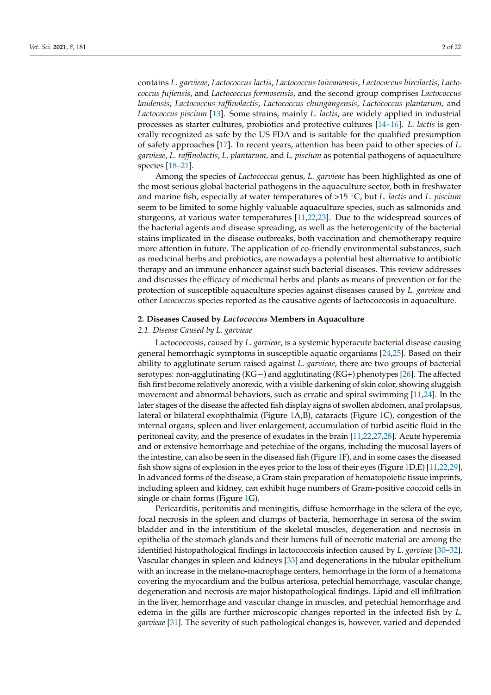contains *L. garvieae*, *Lactococcus lactis*, *Lactococcus taiwanensis*, *Lactococcus hircilactis*, *Lactococcus fujiensis*, and *Lactococcus formosensis*, and the second group comprises *Lactococcus laudensis*, *Lactococcus raffinolactis*, *Lactococcus chungangensis*, *Lactococcus plantarum,* and *Lactococcus piscium* [\[13\]](#page-17-10). Some strains, mainly *L. lactis*, are widely applied in industrial processes as starter cultures, probiotics and protective cultures [\[14](#page-17-11)[–16\]](#page-17-12). *L. lactis* is generally recognized as safe by the US FDA and is suitable for the qualified presumption of safety approaches [\[17\]](#page-17-13). In recent years, attention has been paid to other species of *L. garvieae*, *L. raffinolactis*, *L. plantarum,* and *L. piscium* as potential pathogens of aquaculture species [\[18](#page-17-14)[–21\]](#page-17-15).

Among the species of *Lactococcus* genus, *L. garvieae* has been highlighted as one of the most serious global bacterial pathogens in the aquaculture sector, both in freshwater and marine fish, especially at water temperatures of >15 ◦C, but *L. lactis* and *L. piscium* seem to be limited to some highly valuable aquaculture species, such as salmonids and sturgeons, at various water temperatures [\[11](#page-17-16)[,22,](#page-17-17)[23\]](#page-18-0). Due to the widespread sources of the bacterial agents and disease spreading, as well as the heterogenicity of the bacterial stains implicated in the disease outbreaks, both vaccination and chemotherapy require more attention in future. The application of co-friendly environmental substances, such as medicinal herbs and probiotics, are nowadays a potential best alternative to antibiotic therapy and an immune enhancer against such bacterial diseases. This review addresses and discusses the efficacy of medicinal herbs and plants as means of prevention or for the protection of susceptible aquaculture species against diseases caused by *L. garvieae* and other *Lacococcus* species reported as the causative agents of lactococcosis in aquaculture.

# **2. Diseases Caused by** *Lactococcus* **Members in Aquaculture**

## *2.1. Disease Caused by L. garvieae*

Lactococcosis, caused by *L. garvieae*, is a systemic hyperacute bacterial disease causing general hemorrhagic symptoms in susceptible aquatic organisms [\[24](#page-18-1)[,25\]](#page-18-2). Based on their ability to agglutinate serum raised against *L. garvieae*, there are two groups of bacterial serotypes: non-agglutinating (KG−) and agglutinating (KG+) phenotypes [\[26\]](#page-18-3). The affected fish first become relatively anorexic, with a visible darkening of skin color, showing sluggish movement and abnormal behaviors, such as erratic and spiral swimming [\[11](#page-17-16)[,24\]](#page-18-1). In the later stages of the disease the affected fish display signs of swollen abdomen, anal prolapsus, lateral or bilateral exophthalmia (Figure [1A](#page-2-0),B), cataracts (Figure [1C](#page-2-0)), congestion of the internal organs, spleen and liver enlargement, accumulation of turbid ascitic fluid in the peritoneal cavity, and the presence of exudates in the brain [\[11](#page-17-16)[,22](#page-17-17)[,27](#page-18-4)[,28\]](#page-18-5). Acute hyperemia and or extensive hemorrhage and petechiae of the organs, including the mucosal layers of the intestine, can also be seen in the diseased fish (Figure [1F](#page-2-0)), and in some cases the diseased fish show signs of explosion in the eyes prior to the loss of their eyes (Figure [1D](#page-2-0),E) [\[11,](#page-17-16)[22](#page-17-17)[,29\]](#page-18-6). In advanced forms of the disease, a Gram stain preparation of hematopoietic tissue imprints, including spleen and kidney, can exhibit huge numbers of Gram-positive coccoid cells in single or chain forms (Figure [1G](#page-2-0)).

Pericarditis, peritonitis and meningitis, diffuse hemorrhage in the sclera of the eye, focal necrosis in the spleen and clumps of bacteria, hemorrhage in serosa of the swim bladder and in the interstitium of the skeletal muscles, degeneration and necrosis in epithelia of the stomach glands and their lumens full of necrotic material are among the identified histopathological findings in lactococcosis infection caused by *L. garvieae* [\[30](#page-18-7)[–32\]](#page-18-8). Vascular changes in spleen and kidneys [\[33\]](#page-18-9) and degenerations in the tubular epithelium with an increase in the melano-macrophage centers, hemorrhage in the form of a hematoma covering the myocardium and the bulbus arteriosa, petechial hemorrhage, vascular change, degeneration and necrosis are major histopathological findings. Lipid and ell infiltration in the liver, hemorrhage and vascular change in muscles, and petechial hemorrhage and edema in the gills are further microscopic changes reported in the infected fish by *L. garvieae* [\[31\]](#page-18-10). The severity of such pathological changes is, however, varied and depended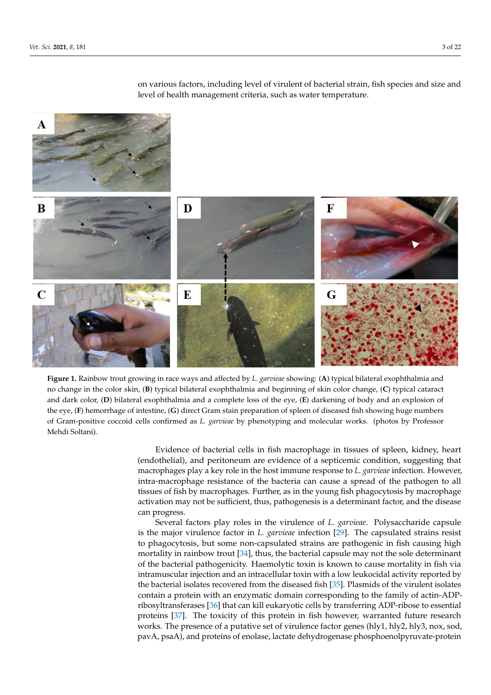<span id="page-2-0"></span>

on various factors, including level of virulent of bacterial strain, fish species and size and level of health management criteria, such as water temperature.

Figure 1. Rainbow trout growing in race ways and affected by L. garvieae showing: (A) typical bilateral exophthalmia and no change in the color skin, (B) typical bilateral exophthalmia and beginning of skin color change, (C) typical cataract and dark color, (D) bilateral exophthalmia and a complete loss of the eye, (E) darkening of body and an explosion of the eye, (F) hemorrhage of intestine, (G) direct Gram stain preparation of spleen of diseased fish showing huge numbers of Gram-positive coccoid cells confirmed as *L. garvieae* by phenotyping and molecular works. (photos by Professor Mehdi Soltani).

> Evidence of bacterial cells in fish macrophage in tissues of spleen, kidney, heart  $\left($ endothelial), and peritoneum are evidence of a septicemic condition, suggesting that macrophages play a key role in the host immune response to *L. garvieae* infection. However, intra-macrophage resistance of the bacteria can cause a spread of the pathogen to all tissues of fish by macrophages. Further, as in the young fish phagocytosis by macrophage activation may not be sufficient, thus, pathogenesis is a determinant factor, and the disease  $\tau$  can progress, periodium and the bulbus arteriors are respectively. can progress.

> Several factors play roles in the virulence of *L. garvieae*. Polysaccharide capsule is the major virulence factor in *L. garvieae* infection [\[29\]](#page-18-6). The capsulated strains resist to phagocytosis, but some non-capsulated strains are pathogenic in fish causing high mortality in rainbow trout [\[34\]](#page-18-11), thus, the bacterial capsule may not the sole determinant of the bacterial pathogenicity. Haemolytic toxin is known to cause mortality in fish via intramuscular injection and an intracellular toxin with a low leukocidal activity reported by the bacterial isolates recovered from the diseased fish [35]. Plasmids of the virulent isolates contain a protein with an enzymatic domain corresponding to the family of actin-ADPribosyltransferases [36] that can kill eukaryotic cells by transferring ADP-ribose to essential proteins [37]. The toxicity of this protein in fish however, warranted future research works. The presence of a putative set of virulence factor genes (hly1, hly2, hly3, nox, sod, pavA, psaA), and proteins of enolase, lactate dehydrogenase phosphoenolpyruvate-protein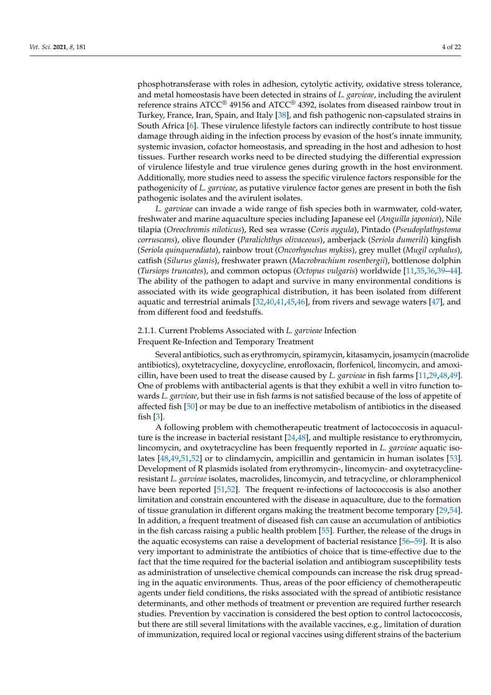phosphotransferase with roles in adhesion, cytolytic activity, oxidative stress tolerance, and metal homeostasis have been detected in strains of *L. garvieae*, including the avirulent reference strains ATCC® 49156 and ATCC® 4392, isolates from diseased rainbow trout in Turkey, France, Iran, Spain, and Italy [\[38\]](#page-18-15), and fish pathogenic non-capsulated strains in South Africa [\[6\]](#page-17-4). These virulence lifestyle factors can indirectly contribute to host tissue damage through aiding in the infection process by evasion of the host's innate immunity, systemic invasion, cofactor homeostasis, and spreading in the host and adhesion to host tissues. Further research works need to be directed studying the differential expression of virulence lifestyle and true virulence genes during growth in the host environment. Additionally, more studies need to assess the specific virulence factors responsible for the pathogenicity of *L. garvieae*, as putative virulence factor genes are present in both the fish pathogenic isolates and the avirulent isolates.

*L. garvieae* can invade a wide range of fish species both in warmwater, cold-water, freshwater and marine aquaculture species including Japanese eel (*Anguilla japonica*), Nile tilapia (*Oreochromis niloticus*), Red sea wrasse (*Coris aygula*), Pintado (*Pseudoplathystoma corruscans*), olive flounder (*Paralichthys olivaceous*), amberjack (*Seriola dumerili*) kingfish (*Seriola quinqueradiata*), rainbow trout (*Oncorhynchus mykiss*), grey mullet (*Mugil cephalus*), catfish (*Silurus glanis*), freshwater prawn (*Macrobrachium rosenbergii*), bottlenose dolphin (*Tursiops truncates*), and common octopus (*Octopus vulgaris*) worldwide [\[11,](#page-17-16)[35,](#page-18-12)[36,](#page-18-13)[39](#page-18-16)[–44\]](#page-18-17). The ability of the pathogen to adapt and survive in many environmental conditions is associated with its wide geographical distribution, it has been isolated from different aquatic and terrestrial animals [\[32,](#page-18-8)[40,](#page-18-18)[41,](#page-18-19)[45,](#page-18-20)[46\]](#page-18-21), from rivers and sewage waters [\[47\]](#page-18-22), and from different food and feedstuffs.

# 2.1.1. Current Problems Associated with *L. garvieae* Infection

Frequent Re-Infection and Temporary Treatment

Several antibiotics, such as erythromycin, spiramycin, kitasamycin, josamycin (macrolide antibiotics), oxytetracycline, doxycycline, enrofloxacin, florfenicol, lincomycin, and amoxicillin, have been used to treat the disease caused by *L. garvieae* in fish farms [\[11,](#page-17-16)[29,](#page-18-6)[48,](#page-18-23)[49\]](#page-19-0). One of problems with antibacterial agents is that they exhibit a well in vitro function towards *L. garvieae*, but their use in fish farms is not satisfied because of the loss of appetite of affected fish [\[50\]](#page-19-1) or may be due to an ineffective metabolism of antibiotics in the diseased fish [\[3\]](#page-17-18).

A following problem with chemotherapeutic treatment of lactococcosis in aquaculture is the increase in bacterial resistant [\[24](#page-18-1)[,48\]](#page-18-23), and multiple resistance to erythromycin, lincomycin, and oxytetracycline has been frequently reported in *L. garvieae* aquatic isolates [\[48](#page-18-23)[,49](#page-19-0)[,51](#page-19-2)[,52\]](#page-19-3) or to clindamycin, ampicillin and gentamicin in human isolates [\[53\]](#page-19-4). Development of R plasmids isolated from erythromycin-, lincomycin- and oxytetracyclineresistant *L. garvieae* isolates, macrolides, lincomycin, and tetracycline, or chloramphenicol have been reported [\[51](#page-19-2)[,52\]](#page-19-3). The frequent re-infections of lactococcosis is also another limitation and constrain encountered with the disease in aquaculture, due to the formation of tissue granulation in different organs making the treatment become temporary [\[29,](#page-18-6)[54\]](#page-19-5). In addition, a frequent treatment of diseased fish can cause an accumulation of antibiotics in the fish carcass raising a public health problem [\[55\]](#page-19-6). Further, the release of the drugs in the aquatic ecosystems can raise a development of bacterial resistance [\[56](#page-19-7)[–59\]](#page-19-8). It is also very important to administrate the antibiotics of choice that is time-effective due to the fact that the time required for the bacterial isolation and antibiogram susceptibility tests as administration of unselective chemical compounds can increase the risk drug spreading in the aquatic environments. Thus, areas of the poor efficiency of chemotherapeutic agents under field conditions, the risks associated with the spread of antibiotic resistance determinants, and other methods of treatment or prevention are required further research studies. Prevention by vaccination is considered the best option to control lactococcosis, but there are still several limitations with the available vaccines, e.g., limitation of duration of immunization, required local or regional vaccines using different strains of the bacterium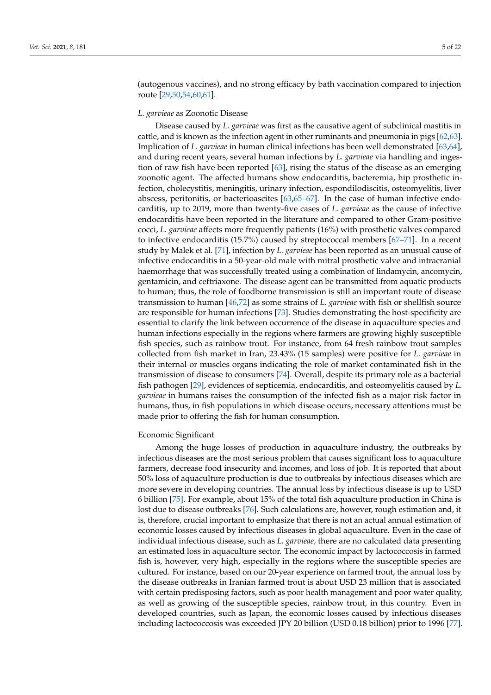(autogenous vaccines), and no strong efficacy by bath vaccination compared to injection route [\[29](#page-18-6)[,50,](#page-19-1)[54,](#page-19-5)[60,](#page-19-9)[61\]](#page-19-10).

## *L. garvieae* as Zoonotic Disease

Disease caused by *L. garvieae* was first as the causative agent of subclinical mastitis in cattle, and is known as the infection agent in other ruminants and pneumonia in pigs [\[62](#page-19-11)[,63\]](#page-19-12). Implication of *L. garvieae* in human clinical infections has been well demonstrated [\[63,](#page-19-12)[64\]](#page-19-13), and during recent years, several human infections by *L. garvieae* via handling and ingestion of raw fish have been reported [\[63\]](#page-19-12), rising the status of the disease as an emerging zoonotic agent. The affected humans show endocarditis, bacteremia, hip prosthetic infection, cholecystitis, meningitis, urinary infection, espondilodiscitis, osteomyelitis, liver abscess, peritonitis, or bacterioascites [\[63](#page-19-12)[,65](#page-19-14)[–67\]](#page-19-15). In the case of human infective endocarditis, up to 2019, more than twenty-five cases of *L. garvieae* as the cause of infective endocarditis have been reported in the literature and compared to other Gram-positive cocci, *L. garvieae* affects more frequently patients (16%) with prosthetic valves compared to infective endocarditis (15.7%) caused by streptococcal members [\[67–](#page-19-15)[71\]](#page-19-16). In a recent study by Malek et al. [\[71\]](#page-19-16), infection by *L. garvieae* has been reported as an unusual cause of infective endocarditis in a 50-year-old male with mitral prosthetic valve and intracranial haemorrhage that was successfully treated using a combination of lindamycin, ancomycin, gentamicin, and ceftriaxone. The disease agent can be transmitted from aquatic products to human; thus, the role of foodborne transmission is still an important route of disease transmission to human [\[46,](#page-18-21)[72\]](#page-19-17) as some strains of *L. garvieae* with fish or shellfish source are responsible for human infections [\[73\]](#page-19-18). Studies demonstrating the host-specificity are essential to clarify the link between occurrence of the disease in aquaculture species and human infections especially in the regions where farmers are growing highly susceptible fish species, such as rainbow trout. For instance, from 64 fresh rainbow trout samples collected from fish market in Iran, 23.43% (15 samples) were positive for *L. garvieae* in their internal or muscles organs indicating the role of market contaminated fish in the transmission of disease to consumers [\[74\]](#page-19-19). Overall, despite its primary role as a bacterial fish pathogen [\[29\]](#page-18-6), evidences of septicemia, endocarditis, and osteomyelitis caused by *L. garvieae* in humans raises the consumption of the infected fish as a major risk factor in humans, thus, in fish populations in which disease occurs, necessary attentions must be made prior to offering the fish for human consumption.

#### Economic Significant

Among the huge losses of production in aquaculture industry, the outbreaks by infectious diseases are the most serious problem that causes significant loss to aquaculture farmers, decrease food insecurity and incomes, and loss of job. It is reported that about 50% loss of aquaculture production is due to outbreaks by infectious diseases which are more severe in developing countries. The annual loss by infectious disease is up to USD 6 billion [\[75\]](#page-20-0). For example, about 15% of the total fish aquaculture production in China is lost due to disease outbreaks [\[76\]](#page-20-1). Such calculations are, however, rough estimation and, it is, therefore, crucial important to emphasize that there is not an actual annual estimation of economic losses caused by infectious diseases in global aquaculture. Even in the case of individual infectious disease, such as *L. garvieae,* there are no calculated data presenting an estimated loss in aquaculture sector. The economic impact by lactococcosis in farmed fish is, however, very high, especially in the regions where the susceptible species are cultured. For instance, based on our 20-year experience on farmed trout, the annual loss by the disease outbreaks in Iranian farmed trout is about USD 23 million that is associated with certain predisposing factors, such as poor health management and poor water quality, as well as growing of the susceptible species, rainbow trout, in this country. Even in developed countries, such as Japan, the economic losses caused by infectious diseases including lactococcosis was exceeded JPY 20 billion (USD 0.18 billion) prior to 1996 [\[77\]](#page-20-2).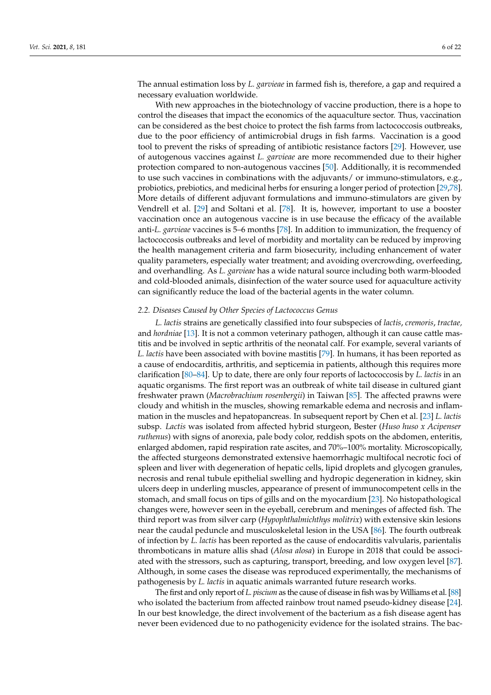The annual estimation loss by *L. garvieae* in farmed fish is, therefore, a gap and required a necessary evaluation worldwide.

With new approaches in the biotechnology of vaccine production, there is a hope to control the diseases that impact the economics of the aquaculture sector. Thus, vaccination can be considered as the best choice to protect the fish farms from lactococcosis outbreaks, due to the poor efficiency of antimicrobial drugs in fish farms. Vaccination is a good tool to prevent the risks of spreading of antibiotic resistance factors [\[29\]](#page-18-6). However, use of autogenous vaccines against *L. garvieae* are more recommended due to their higher protection compared to non-autogenous vaccines [\[50\]](#page-19-1). Additionally, it is recommended to use such vaccines in combinations with the adjuvants/ or immuno-stimulators, e.g., probiotics, prebiotics, and medicinal herbs for ensuring a longer period of protection [\[29](#page-18-6)[,78\]](#page-20-3). More details of different adjuvant formulations and immuno-stimulators are given by Vendrell et al. [\[29\]](#page-18-6) and Soltani et al. [\[78\]](#page-20-3). It is, however, important to use a booster vaccination once an autogenous vaccine is in use because the efficacy of the available anti-*L. garvieae* vaccines is 5–6 months [\[78\]](#page-20-3). In addition to immunization, the frequency of lactococcosis outbreaks and level of morbidity and mortality can be reduced by improving the health management criteria and farm biosecurity, including enhancement of water quality parameters, especially water treatment; and avoiding overcrowding, overfeeding, and overhandling. As *L. garvieae* has a wide natural source including both warm-blooded and cold-blooded animals, disinfection of the water source used for aquaculture activity can significantly reduce the load of the bacterial agents in the water column.

#### *2.2. Diseases Caused by Other Species of Lactococcus Genus*

*L. lactis* strains are genetically classified into four subspecies of *lactis*, *cremoris*, *tractae,* and *hordniae* [\[13\]](#page-17-10). It is not a common veterinary pathogen, although it can cause cattle mastitis and be involved in septic arthritis of the neonatal calf. For example, several variants of *L. lactis* have been associated with bovine mastitis [\[79\]](#page-20-4). In humans, it has been reported as a cause of endocarditis, arthritis, and septicemia in patients, although this requires more clarification [\[80–](#page-20-5)[84\]](#page-20-6). Up to date, there are only four reports of lactococcosis by *L. lactis* in an aquatic organisms. The first report was an outbreak of white tail disease in cultured giant freshwater prawn (*Macrobrachium rosenbergii*) in Taiwan [\[85\]](#page-20-7). The affected prawns were cloudy and whitish in the muscles, showing remarkable edema and necrosis and inflammation in the muscles and hepatopancreas. In subsequent report by Chen et al. [\[23\]](#page-18-0) *L. lactis* subsp. *Lactis* was isolated from affected hybrid sturgeon, Bester (*Huso huso x Acipenser ruthenus*) with signs of anorexia, pale body color, reddish spots on the abdomen, enteritis, enlarged abdomen, rapid respiration rate ascites, and 70%–100% mortality. Microscopically, the affected sturgeons demonstrated extensive haemorrhagic multifocal necrotic foci of spleen and liver with degeneration of hepatic cells, lipid droplets and glycogen granules, necrosis and renal tubule epithelial swelling and hydropic degeneration in kidney, skin ulcers deep in underling muscles, appearance of present of immunocompetent cells in the stomach, and small focus on tips of gills and on the myocardium [\[23\]](#page-18-0). No histopathological changes were, however seen in the eyeball, cerebrum and meninges of affected fish. The third report was from silver carp (*Hypophthalmichthys molitrix*) with extensive skin lesions near the caudal peduncle and musculoskeletal lesion in the USA [\[86\]](#page-20-8). The fourth outbreak of infection by *L. lactis* has been reported as the cause of endocarditis valvularis, parientalis thromboticans in mature allis shad (*Alosa alosa*) in Europe in 2018 that could be associated with the stressors, such as capturing, transport, breeding, and low oxygen level [\[87\]](#page-20-9). Although, in some cases the disease was reproduced experimentally, the mechanisms of pathogenesis by *L. lactis* in aquatic animals warranted future research works.

The first and only report of *L. piscium* as the cause of disease in fish was by Williams et al. [\[88\]](#page-20-10) who isolated the bacterium from affected rainbow trout named pseudo-kidney disease [\[24\]](#page-18-1). In our best knowledge, the direct involvement of the bacterium as a fish disease agent has never been evidenced due to no pathogenicity evidence for the isolated strains. The bac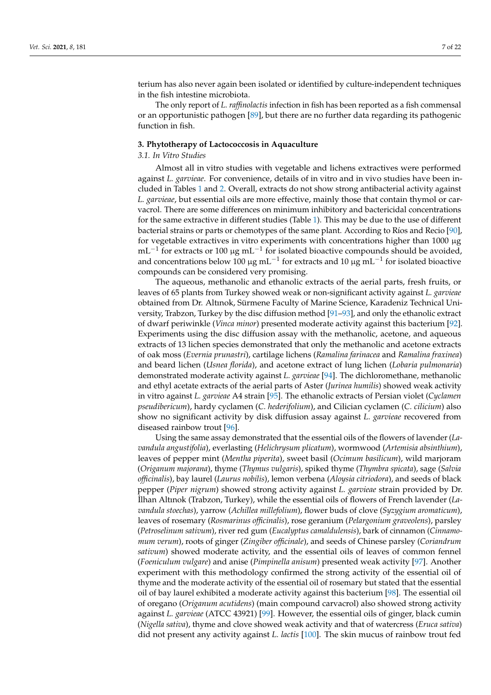terium has also never again been isolated or identified by culture-independent techniques in the fish intestine microbiota.

The only report of *L. raffinolactis* infection in fish has been reported as a fish commensal or an opportunistic pathogen [\[89\]](#page-20-11), but there are no further data regarding its pathogenic function in fish.

#### **3. Phytotherapy of Lactococcosis in Aquaculture**

#### *3.1. In Vitro Studies*

Almost all in vitro studies with vegetable and lichens extractives were performed against *L. garvieae*. For convenience, details of in vitro and in vivo studies have been included in Tables [1](#page-12-0) and [2.](#page-14-0) Overall, extracts do not show strong antibacterial activity against *L. garvieae*, but essential oils are more effective, mainly those that contain thymol or carvacrol. There are some differences on minimum inhibitory and bactericidal concentrations for the same extractive in different studies (Table [1\)](#page-12-0). This may be due to the use of different bacterial strains or parts or chemotypes of the same plant. According to Ríos and Recio [\[90\]](#page-20-12), for vegetable extractives in vitro experiments with concentrations higher than 1000 µg mL<sup>-1</sup> for extracts or 100 µg mL<sup>-1</sup> for isolated bioactive compounds should be avoided, and concentrations below 100  $\mu$ g mL<sup>-1</sup> for extracts and 10  $\mu$ g mL<sup>-1</sup> for isolated bioactive compounds can be considered very promising.

The aqueous, methanolic and ethanolic extracts of the aerial parts, fresh fruits, or leaves of 65 plants from Turkey showed weak or non-significant activity against *L. garvieae* obtained from Dr. Altınok, Sürmene Faculty of Marine Science, Karadeniz Technical University, Trabzon, Turkey by the disc diffusion method [\[91](#page-20-13)[–93\]](#page-20-14), and only the ethanolic extract of dwarf periwinkle (*Vinca minor*) presented moderate activity against this bacterium [\[92\]](#page-20-15). Experiments using the disc diffusion assay with the methanolic, acetone, and aqueous extracts of 13 lichen species demonstrated that only the methanolic and acetone extracts of oak moss (*Evernia prunastri*), cartilage lichens (*Ramalina farinacea* and *Ramalina fraxinea*) and beard lichen (*Usnea florida*), and acetone extract of lung lichen (*Lobaria pulmonaria*) demonstrated moderate activity against *L. garvieae* [\[94\]](#page-20-16). The dichloromethane, methanolic and ethyl acetate extracts of the aerial parts of Aster (*Jurinea humilis*) showed weak activity in vitro against *L. garvieae* A4 strain [\[95\]](#page-20-17). The ethanolic extracts of Persian violet (*Cyclamen pseudibericum*), hardy cyclamen (*C. hederifolium*), and Cilician cyclamen (*C. cilicium*) also show no significant activity by disk diffusion assay against *L. garvieae* recovered from diseased rainbow trout [\[96\]](#page-20-18).

Using the same assay demonstrated that the essential oils of the flowers of lavender (*Lavandula angustifolia*), everlasting (*Helichrysum plicatum*), wormwood (*Artemisia absinthium*), leaves of pepper mint (*Mentha piperita*), sweet basil (*Ocimum basilicum*), wild marjoram (*Origanum majorana*), thyme (*Thymus vulgaris*), spiked thyme (*Thymbra spicata*), sage (*Salvia officinalis*), bay laurel (*Laurus nobilis*), lemon verbena (*Aloysia citriodora*), and seeds of black pepper (*Piper nigrum*) showed strong activity against *L. garvieae* strain provided by Dr. ˙Ilhan Altınok (Trabzon, Turkey), while the essential oils of flowers of French lavender (*Lavandula stoechas*), yarrow (*Achillea millefolium*), flower buds of clove (*Syzygium aromaticum*), leaves of rosemary (*Rosmarinus officinalis*), rose geranium (*Pelargonium graveolens*), parsley (*Petroselinum sativum*), river red gum (*Eucalyptus camaldulensis*), bark of cinnamon (*Cinnamomum verum*), roots of ginger (*Zingiber officinale*), and seeds of Chinese parsley (*Coriandrum sativum*) showed moderate activity, and the essential oils of leaves of common fennel (*Foeniculum vulgare*) and anise (*Pimpinella anisum*) presented weak activity [\[97\]](#page-20-19). Another experiment with this methodology confirmed the strong activity of the essential oil of thyme and the moderate activity of the essential oil of rosemary but stated that the essential oil of bay laurel exhibited a moderate activity against this bacterium [\[98\]](#page-20-20). The essential oil of oregano (*Origanum acutidens*) (main compound carvacrol) also showed strong activity against *L. garvieae* (ATCC 43921) [\[99\]](#page-20-21). However, the essential oils of ginger, black cumin (*Nigella sativa*), thyme and clove showed weak activity and that of watercress (*Eruca sativa*) did not present any activity against *L. lactis* [\[100\]](#page-20-22). The skin mucus of rainbow trout fed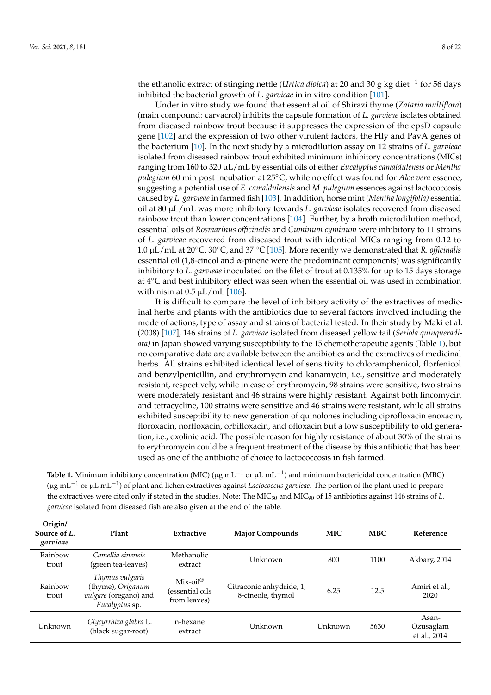the ethanolic extract of stinging nettle (*Urtica dioica*) at 20 and 30 g kg diet−<sup>1</sup> for 56 days inhibited the bacterial growth of *L. garvieae* in in vitro condition [\[101\]](#page-20-23).

Under in vitro study we found that essential oil of Shirazi thyme (*Zataria multiflora*) (main compound: carvacrol) inhibits the capsule formation of *L. garvieae* isolates obtained from diseased rainbow trout because it suppresses the expression of the epsD capsule gene [\[102\]](#page-20-24) and the expression of two other virulent factors, the Hly and PavA genes of the bacterium [\[10\]](#page-17-8). In the next study by a microdilution assay on 12 strains of *L. garvieae* isolated from diseased rainbow trout exhibited minimum inhibitory concentrations (MICs) ranging from 160 to 320 µL/mL by essential oils of either *Eucalyptus camaldulensis* or *Mentha pulegium* 60 min post incubation at 25◦C, while no effect was found for *Aloe vera* essence, suggesting a potential use of *E. camaldulensis* and *M. pulegium* essences against lactococcosis caused by *L. garvieae* in farmed fish [\[103\]](#page-20-25). In addition, horse mint *(Mentha longifolia)* essential oil at 80 µL/mL was more inhibitory towards *L. garvieae* isolates recovered from diseased rainbow trout than lower concentrations [\[104\]](#page-21-0). Further, by a broth microdilution method, essential oils of *Rosmarinus officinalis* and *Cuminum cyminum* were inhibitory to 11 strains of *L. garvieae* recovered from diseased trout with identical MICs ranging from 0.12 to 1.0 µL/mL at 20◦C, 30◦C, and 37 ◦C [\[105\]](#page-21-1). More recently we demonstrated that *R. officinalis* essential oil (1,8-cineol and α-pinene were the predominant components) was significantly inhibitory to *L. garvieae* inoculated on the filet of trout at 0.135% for up to 15 days storage at 4◦C and best inhibitory effect was seen when the essential oil was used in combination with nisin at  $0.5 \mu L/mL$  [\[106\]](#page-21-2).

It is difficult to compare the level of inhibitory activity of the extractives of medicinal herbs and plants with the antibiotics due to several factors involved including the mode of actions, type of assay and strains of bacterial tested. In their study by Maki et al. (2008) [\[107\]](#page-21-3), 146 strains of *L. garvieae* isolated from diseased yellow tail (*Seriola quinqueradiata)* in Japan showed varying susceptibility to the 15 chemotherapeutic agents (Table [1\)](#page-12-0), but no comparative data are available between the antibiotics and the extractives of medicinal herbs. All strains exhibited identical level of sensitivity to chloramphenicol, florfenicol and benzylpenicillin, and erythromycin and kanamycin, i.e., sensitive and moderately resistant, respectively, while in case of erythromycin, 98 strains were sensitive, two strains were moderately resistant and 46 strains were highly resistant. Against both lincomycin and tetracycline, 100 strains were sensitive and 46 strains were resistant, while all strains exhibited susceptibility to new generation of quinolones including ciprofloxacin enoxacin, floroxacin, norfloxacin, orbifloxacin, and ofloxacin but a low susceptibility to old generation, i.e., oxolinic acid. The possible reason for highly resistance of about 30% of the strains to erythromycin could be a frequent treatment of the disease by this antibiotic that has been used as one of the antibiotic of choice to lactococcosis in fish farmed.

| <b>Table 1.</b> Minimum inhibitory concentration (MIC) ( $\mu$ g mL <sup>-1</sup> or $\mu$ L mL <sup>-1</sup> ) and minimum bactericidal concentration (MBC)            |
|-------------------------------------------------------------------------------------------------------------------------------------------------------------------------|
| ( $\mu$ g mL <sup>-1</sup> or $\mu$ L mL <sup>-1</sup> ) of plant and lichen extractives against <i>Lactococcus garvieae</i> . The portion of the plant used to prepare |
| the extractives were cited only if stated in the studies. Note: The $MIC50$ and $MIC90$ of 15 antibiotics against 146 strains of L.                                     |
| <i>garvieae</i> isolated from diseased fish are also given at the end of the table.                                                                                     |

| Origin/<br>Source of L.<br>garvieae | Plant                                                                           | Extractive                                               | <b>Major Compounds</b>                        | <b>MIC</b> | <b>MBC</b> | Reference                          |
|-------------------------------------|---------------------------------------------------------------------------------|----------------------------------------------------------|-----------------------------------------------|------------|------------|------------------------------------|
| Rainbow<br>trout                    | Camellia sinensis<br>(green tea-leaves)                                         | Methanolic<br>extract                                    | Unknown                                       | 800        | 1100       | Akbary, 2014                       |
| Rainbow<br>trout                    | Thymus vulgaris<br>(thyme), Origanum<br>vulgare (oregano) and<br>Eucalyptus sp. | $Mix-oil^{\circledR}$<br>(essential oils<br>from leaves) | Citraconic anhydride, 1,<br>8-cineole, thymol | 6.25       | 12.5       | Amiri et al.,<br>2020              |
| Unknown                             | Glycyrrhiza glabra L.<br>(black sugar-root)                                     | n-hexane<br>extract                                      | Unknown                                       | Unknown    | 5630       | Asan-<br>Ozusaglam<br>et al., 2014 |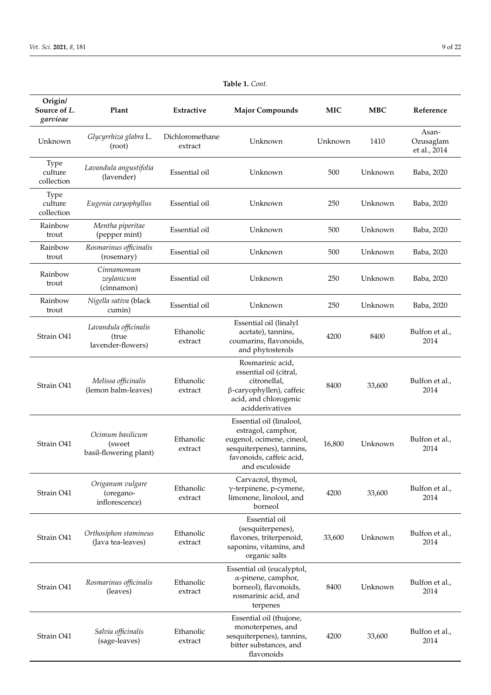| Origin/<br>Source of L.<br>garvieae  | Plant                                                | Extractive                 | <b>Major Compounds</b>                                                                                                                                 | <b>MIC</b> | <b>MBC</b> | Reference                          |
|--------------------------------------|------------------------------------------------------|----------------------------|--------------------------------------------------------------------------------------------------------------------------------------------------------|------------|------------|------------------------------------|
| Unknown                              | Glycyrrhiza glabra L.<br>(root)                      | Dichloromethane<br>extract | Unknown                                                                                                                                                | Unknown    | 1410       | Asan-<br>Ozusaglam<br>et al., 2014 |
| <b>Type</b><br>culture<br>collection | Lavandula angustifolia<br>(lavender)                 | Essential oil              | Unknown                                                                                                                                                | 500        | Unknown    | Baba, 2020                         |
| Type<br>culture<br>collection        | Eugenia caryophyllus                                 | Essential oil              | Unknown                                                                                                                                                | 250        | Unknown    | Baba, 2020                         |
| Rainbow<br>trout                     | Mentha piperitae<br>(pepper mint)                    | Essential oil              | Unknown                                                                                                                                                | 500        | Unknown    | Baba, 2020                         |
| Rainbow<br>trout                     | Rosmarinus officinalis<br>(rosemary)                 | Essential oil              | Unknown                                                                                                                                                | 500        | Unknown    | Baba, 2020                         |
| Rainbow<br>trout                     | Cinnamomum<br>zeylanicum<br>(cinnamon)               | Essential oil              | Unknown                                                                                                                                                | 250        | Unknown    | Baba, 2020                         |
| Rainbow<br>trout                     | Nigella sativa (black<br>cumin)                      | Essential oil              | Unknown                                                                                                                                                | 250        | Unknown    | Baba, 2020                         |
| Strain O41                           | Lavandula officinalis<br>(true<br>lavender-flowers)  | Ethanolic<br>extract       | Essential oil (linalyl<br>acetate), tannins,<br>coumarins, flavonoids,<br>and phytosterols                                                             | 4200       | 8400       | Bulfon et al.,<br>2014             |
| Strain O41                           | Melissa officinalis<br>(lemon balm-leaves)           | Ethanolic<br>extract       | Rosmarinic acid,<br>essential oil (citral,<br>citronellal,<br>β-caryophyllen), caffeic<br>acid, and chlorogenic<br>acidderivatives                     | 8400       | 33,600     | Bulfon et al.,<br>2014             |
| Strain O41                           | Ocimum basilicum<br>(sweet<br>basil-flowering plant) | Ethanolic<br>extract       | Essential oil (linalool,<br>estragol, camphor,<br>eugenol, ocimene, cineol,<br>sesquiterpenes), tannins,<br>favonoids, caffeic acid,<br>and esculoside | 16,800     | Unknown    | Bulfon et al.,<br>2014             |
| Strain O41                           | Origanum vulgare<br>(oregano-<br>inflorescence)      | Ethanolic<br>extract       | Carvacrol, thymol,<br>$\gamma$ -terpinene, p-cymene,<br>limonene, linolool, and<br>borneol                                                             | 4200       | 33,600     | Bulfon et al.,<br>2014             |
| Strain O41                           | Orthosiphon stamineus<br>(Java tea-leaves)           | Ethanolic<br>extract       | Essential oil<br>(sesquiterpenes),<br>flavones, triterpenoid,<br>saponins, vitamins, and<br>organic salts                                              | 33,600     | Unknown    | Bulfon et al.,<br>2014             |
| Strain O41                           | Rosmarinus officinalis<br>(leaves)                   | Ethanolic<br>extract       | Essential oil (eucalyptol,<br>α-pinene, camphor,<br>borneol), flavonoids,<br>rosmarinic acid, and<br>terpenes                                          | 8400       | Unknown    | Bulfon et al.,<br>2014             |
| Strain O41                           | Salvia officinalis<br>(sage-leaves)                  | Ethanolic<br>extract       | Essential oil (thujone,<br>monoterpenes, and<br>sesquiterpenes), tannins,<br>bitter substances, and<br>flavonoids                                      | 4200       | 33,600     | Bulfon et al.,<br>2014             |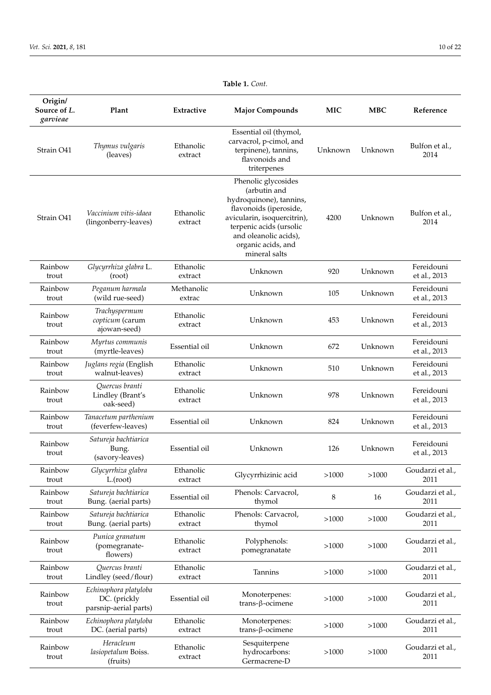| Origin/<br>Source of L.<br>garvieae | Plant                                                          | Extractive           | <b>Major Compounds</b>                                                                                                                                                                                             | <b>MIC</b> | <b>MBC</b> | Reference                  |
|-------------------------------------|----------------------------------------------------------------|----------------------|--------------------------------------------------------------------------------------------------------------------------------------------------------------------------------------------------------------------|------------|------------|----------------------------|
| Strain O41                          | Thymus vulgaris<br>(leaves)                                    | Ethanolic<br>extract | Essential oil (thymol,<br>carvacrol, p-cimol, and<br>terpinene), tannins,<br>flavonoids and<br>triterpenes                                                                                                         | Unknown    | Unknown    | Bulfon et al.,<br>2014     |
| Strain O41                          | Vaccinium vitis-idaea<br>(lingonberry-leaves)                  | Ethanolic<br>extract | Phenolic glycosides<br>(arbutin and<br>hydroquinone), tannins,<br>flavonoids (iperoside,<br>avicularin, isoquercitrin),<br>terpenic acids (ursolic<br>and oleanolic acids),<br>organic acids, and<br>mineral salts | 4200       | Unknown    | Bulfon et al.,<br>2014     |
| Rainbow<br>trout                    | Glycyrrhiza glabra L.<br>(root)                                | Ethanolic<br>extract | Unknown                                                                                                                                                                                                            | 920        | Unknown    | Fereidouni<br>et al., 2013 |
| Rainbow<br>trout                    | Peganum harmala<br>(wild rue-seed)                             | Methanolic<br>extrac | Unknown                                                                                                                                                                                                            | 105        | Unknown    | Fereidouni<br>et al., 2013 |
| Rainbow<br>trout                    | Trachyspermum<br>copticum (carum<br>ajowan-seed)               | Ethanolic<br>extract | Unknown                                                                                                                                                                                                            | 453        | Unknown    | Fereidouni<br>et al., 2013 |
| Rainbow<br>trout                    | Myrtus communis<br>(myrtle-leaves)                             | Essential oil        | Unknown                                                                                                                                                                                                            | 672        | Unknown    | Fereidouni<br>et al., 2013 |
| Rainbow<br>trout                    | Juglans regia (English<br>walnut-leaves)                       | Ethanolic<br>extract | Unknown                                                                                                                                                                                                            | 510        | Unknown    | Fereidouni<br>et al., 2013 |
| Rainbow<br>trout                    | Quercus branti<br>Lindley (Brant's<br>oak-seed)                | Ethanolic<br>extract | Unknown                                                                                                                                                                                                            | 978        | Unknown    | Fereidouni<br>et al., 2013 |
| Rainbow<br>trout                    | Tanacetum parthenium<br>(feverfew-leaves)                      | Essential oil        | Unknown                                                                                                                                                                                                            | 824        | Unknown    | Fereidouni<br>et al., 2013 |
| Rainbow<br>trout                    | Satureja bachtiarica<br>Bung.<br>(savory-leaves)               | Essential oil        | Unknown                                                                                                                                                                                                            | 126        | Unknown    | Fereidouni<br>et al., 2013 |
| Rainbow<br>trout                    | Glycyrrhiza glabra<br>L(root)                                  | Ethanolic<br>extract | Glycyrrhizinic acid                                                                                                                                                                                                | >1000      | >1000      | Goudarzi et al.,<br>2011   |
| Rainbow<br>trout                    | Satureja bachtiarica<br>Bung. (aerial parts)                   | Essential oil        | Phenols: Carvacrol,<br>thymol                                                                                                                                                                                      | 8          | 16         | Goudarzi et al.,<br>2011   |
| Rainbow<br>trout                    | Satureja bachtiarica<br>Bung. (aerial parts)                   | Ethanolic<br>extract | Phenols: Carvacrol,<br>thymol                                                                                                                                                                                      | >1000      | >1000      | Goudarzi et al.,<br>2011   |
| Rainbow<br>trout                    | Punica granatum<br>(pomegranate-<br>flowers)                   | Ethanolic<br>extract | Polyphenols:<br>pomegranatate                                                                                                                                                                                      | >1000      | >1000      | Goudarzi et al.,<br>2011   |
| Rainbow<br>trout                    | Quercus branti<br>Lindley (seed/flour)                         | Ethanolic<br>extract | Tannins                                                                                                                                                                                                            | >1000      | >1000      | Goudarzi et al.,<br>2011   |
| Rainbow<br>trout                    | Echinophora platyloba<br>DC. (prickly<br>parsnip-aerial parts) | Essential oil        | Monoterpenes:<br>trans-β-ocimene                                                                                                                                                                                   | >1000      | >1000      | Goudarzi et al.,<br>2011   |
| Rainbow<br>trout                    | Echinophora platyloba<br>DC. (aerial parts)                    | Ethanolic<br>extract | Monoterpenes:<br>$trans-\beta-ocimene$                                                                                                                                                                             | >1000      | >1000      | Goudarzi et al.,<br>2011   |
| Rainbow<br>trout                    | Heracleum<br>lasiopetalum Boiss.<br>(fruits)                   | Ethanolic<br>extract | Sesquiterpene<br>hydrocarbons:<br>Germacrene-D                                                                                                                                                                     | >1000      | >1000      | Goudarzi et al.,<br>2011   |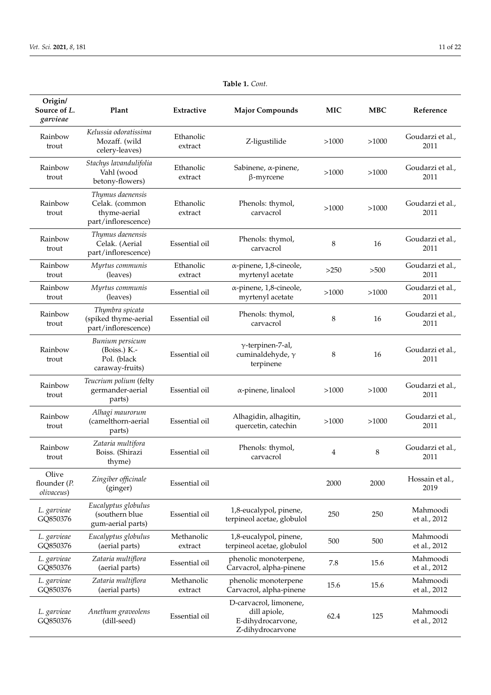| Origin/<br>Source of L.<br>garvieae | Plant                                                                     | Extractive            | <b>Major Compounds</b>                                                          | <b>MIC</b> | <b>MBC</b> | Reference                |
|-------------------------------------|---------------------------------------------------------------------------|-----------------------|---------------------------------------------------------------------------------|------------|------------|--------------------------|
| Rainbow<br>trout                    | Kelussia odoratissima<br>Mozaff. (wild<br>celery-leaves)                  | Ethanolic<br>extract  | Z-ligustilide                                                                   | >1000      | >1000      | Goudarzi et al.,<br>2011 |
| Rainbow<br>trout                    | Stachys lavandulifolia<br>Vahl (wood<br>betony-flowers)                   | Ethanolic<br>extract  | Sabinene, α-pinene,<br>$\beta$ -myrcene                                         | >1000      | >1000      | Goudarzi et al.,<br>2011 |
| Rainbow<br>trout                    | Thymus daenensis<br>Celak. (common<br>thyme-aerial<br>part/inflorescence) | Ethanolic<br>extract  | Phenols: thymol,<br>carvacrol                                                   | >1000      | >1000      | Goudarzi et al.,<br>2011 |
| Rainbow<br>trout                    | Thymus daenensis<br>Celak. (Aerial<br>part/inflorescence)                 | Essential oil         | Phenols: thymol,<br>carvacrol                                                   | 8          | 16         | Goudarzi et al.,<br>2011 |
| Rainbow<br>trout                    | Myrtus communis<br>(leaves)                                               | Ethanolic<br>extract  | $\alpha$ -pinene, 1,8-cineole,<br>myrtenyl acetate                              | >250       | >500       | Goudarzi et al.,<br>2011 |
| Rainbow<br>trout                    | Myrtus communis<br>(leaves)                                               | Essential oil         | $\alpha$ -pinene, 1,8-cineole,<br>myrtenyl acetate                              | >1000      | >1000      | Goudarzi et al.,<br>2011 |
| Rainbow<br>trout                    | Thymbra spicata<br>(spiked thyme-aerial<br>part/inflorescence)            | Essential oil         | Phenols: thymol,<br>carvacrol                                                   | 8          | 16         | Goudarzi et al.,<br>2011 |
| Rainbow<br>trout                    | Bunium persicum<br>$(Boiss.)$ K.-<br>Pol. (black<br>caraway-fruits)       | Essential oil         | $\gamma$ -terpinen-7-al,<br>cuminaldehyde, $\gamma$<br>terpinene                | 8          | 16         | Goudarzi et al.,<br>2011 |
| Rainbow<br>trout                    | Teucrium polium (felty<br>germander-aerial<br>parts)                      | Essential oil         | $\alpha$ -pinene, linalool                                                      | >1000      | >1000      | Goudarzi et al.,<br>2011 |
| Rainbow<br>trout                    | Alhagi maurorum<br>(camelthorn-aerial<br>parts)                           | Essential oil         | Alhagidin, alhagitin,<br>quercetin, catechin                                    | >1000      | >1000      | Goudarzi et al.,<br>2011 |
| Rainbow<br>trout                    | Zataria multifora<br>Boiss. (Shirazi<br>thyme)                            | Essential oil         | Phenols: thymol,<br>carvacrol                                                   | 4          | 8          | Goudarzi et al.,<br>2011 |
| Olive<br>flounder (P.<br>olivaceus) | Zingiber officinale<br>(ginger)                                           | Essential oil         |                                                                                 | 2000       | 2000       | Hossain et al.,<br>2019  |
| L. garvieae<br>GQ850376             | Eucalyptus globulus<br>(southern blue<br>gum-aerial parts)                | Essential oil         | 1,8-eucalypol, pinene,<br>terpineol acetae, globulol                            | 250        | 250        | Mahmoodi<br>et al., 2012 |
| L. garvieae<br>GQ850376             | Eucalyptus globulus<br>(aerial parts)                                     | Methanolic<br>extract | 1,8-eucalypol, pinene,<br>terpineol acetae, globulol                            | 500        | 500        | Mahmoodi<br>et al., 2012 |
| L. garvieae<br>GQ850376             | Zataria multiflora<br>(aerial parts)                                      | Essential oil         | phenolic monoterpene,<br>Carvacrol, alpha-pinene                                | 7.8        | 15.6       | Mahmoodi<br>et al., 2012 |
| L. garvieae<br>GQ850376             | Zataria multiflora<br>(aerial parts)                                      | Methanolic<br>extract | phenolic monoterpene<br>Carvacrol, alpha-pinene                                 | 15.6       | 15.6       | Mahmoodi<br>et al., 2012 |
| L. garvieae<br>GQ850376             | Anethum graveolens<br>(dill-seed)                                         | Essential oil         | D-carvacrol, limonene,<br>dill apiole,<br>E-dihydrocarvone,<br>Z-dihydrocarvone | 62.4       | 125        | Mahmoodi<br>et al., 2012 |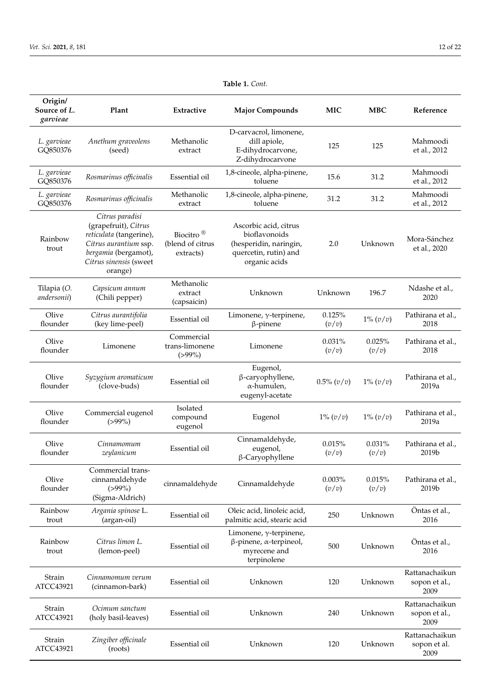| Origin/<br>Source of L.<br>garvieae | Plant                                                                                                                                                    | Extractive                                             | <b>Major Compounds</b>                                                                                     | <b>MIC</b>      | <b>MBC</b>      | Reference                               |
|-------------------------------------|----------------------------------------------------------------------------------------------------------------------------------------------------------|--------------------------------------------------------|------------------------------------------------------------------------------------------------------------|-----------------|-----------------|-----------------------------------------|
| L. garvieae<br>GQ850376             | Anethum graveolens<br>(seed)                                                                                                                             | Methanolic<br>extract                                  | D-carvacrol, limonene,<br>dill apiole,<br>E-dihydrocarvone,<br>Z-dihydrocarvone                            | 125             | 125             | Mahmoodi<br>et al., 2012                |
| L. garvieae<br>GQ850376             | Rosmarinus officinalis                                                                                                                                   | Essential oil                                          | 1,8-cineole, alpha-pinene,<br>toluene                                                                      | 15.6            | 31.2            | Mahmoodi<br>et al., 2012                |
| L. garvieae<br>GQ850376             | Rosmarinus officinalis                                                                                                                                   | Methanolic<br>extract                                  | 1,8-cineole, alpha-pinene,<br>toluene                                                                      | 31.2            | 31.2            | Mahmoodi<br>et al., 2012                |
| Rainbow<br>trout                    | Citrus paradisi<br>(grapefruit), Citrus<br>reticulata (tangerine),<br>Citrus aurantium ssp.<br>bergamia (bergamot),<br>Citrus sinensis (sweet<br>orange) | Biocitro <sup>®</sup><br>(blend of citrus<br>extracts) | Ascorbic acid, citrus<br>bioflavonoids<br>(hesperidin, naringin,<br>quercetin, rutin) and<br>organic acids | 2.0             | Unknown         | Mora-Sánchez<br>et al., 2020            |
| Tilapia (O.<br>andersonii)          | Capsicum annum<br>(Chili pepper)                                                                                                                         | Methanolic<br>extract<br>(capsaicin)                   | Unknown                                                                                                    | Unknown         | 196.7           | Ndashe et al.,<br>2020                  |
| Olive<br>flounder                   | Citrus aurantifolia<br>(key lime-peel)                                                                                                                   | Essential oil                                          | Limonene, $\gamma$ -terpinene,<br>$\beta$ -pinene                                                          | 0.125%<br>(v/v) | $1\% (v/v)$     | Pathirana et al.,<br>2018               |
| Olive<br>flounder                   | Limonene                                                                                                                                                 | Commercial<br>trans-limonene<br>$(>99\%)$              | Limonene                                                                                                   | 0.031%<br>(v/v) | 0.025%<br>(v/v) | Pathirana et al.,<br>2018               |
| Olive<br>flounder                   | Syzygium aromaticum<br>(clove-buds)                                                                                                                      | Essential oil                                          | Eugenol,<br>β-caryophyllene,<br>α-humulen,<br>eugenyl-acetate                                              | $0.5\% (v/v)$   | $1\% (v/v)$     | Pathirana et al.,<br>2019a              |
| Olive<br>flounder                   | Commercial eugenol<br>$(>99\%)$                                                                                                                          | Isolated<br>compound<br>eugenol                        | Eugenol                                                                                                    | $1\% (v/v)$     | $1\% (v/v)$     | Pathirana et al.,<br>2019a              |
| Olive<br>flounder                   | Cinnamomum<br>zeylanicum                                                                                                                                 | Essential oil                                          | Cinnamaldehyde,<br>eugenol,<br>β-Caryophyllene                                                             | 0.015%<br>(v/v) | 0.031%<br>(v/v) | Pathirana et al.,<br>2019b              |
| Olive<br>flounder                   | Commercial trans-<br>cinnamaldehyde<br>$(>99\%)$<br>(Sigma-Aldrich)                                                                                      | cinnamaldehyde                                         | Cinnamaldehyde                                                                                             | 0.003%<br>(v/v) | 0.015%<br>(v/v) | Pathirana et al.,<br>2019b              |
| Rainbow<br>trout                    | Argania spinose L.<br>(argan-oil)                                                                                                                        | Essential oil                                          | Oleic acid, linoleic acid,<br>palmitic acid, stearic acid                                                  | 250             | Unknown         | Öntas et al.,<br>2016                   |
| Rainbow<br>trout                    | Citrus limon L.<br>(lemon-peel)                                                                                                                          | Essential oil                                          | Limonene, $\gamma$ -terpinene,<br>$\beta$ -pinene, $\alpha$ -terpineol,<br>myrecene and<br>terpinolene     | 500             | Unknown         | Öntas et al.,<br>2016                   |
| Strain<br>ATCC43921                 | Cinnamomum verum<br>(cinnamon-bark)                                                                                                                      | Essential oil                                          | Unknown                                                                                                    | 120             | Unknown         | Rattanachaikun<br>sopon et al.,<br>2009 |
| Strain<br>ATCC43921                 | Ocimum sanctum<br>(holy basil-leaves)                                                                                                                    | Essential oil                                          | Unknown                                                                                                    | 240             | Unknown         | Rattanachaikun<br>sopon et al.,<br>2009 |
| Strain<br>ATCC43921                 | Zingiber officinale<br>(roots)                                                                                                                           | Essential oil                                          | Unknown                                                                                                    | 120             | Unknown         | Rattanachaikun<br>sopon et al.<br>2009  |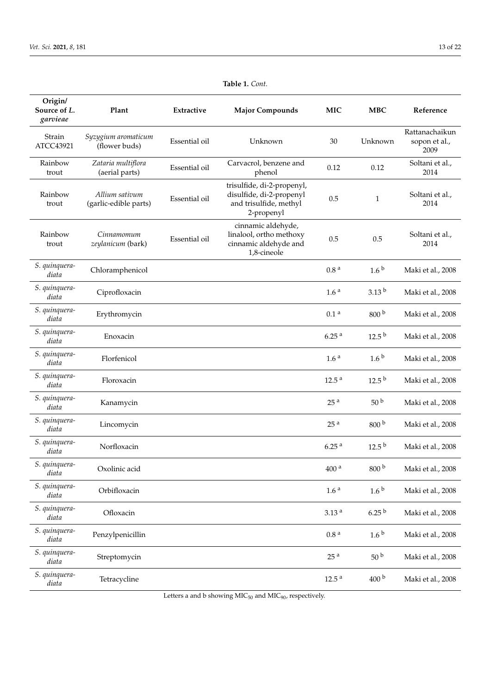<span id="page-12-0"></span>

| Origin/<br>Source of L.<br>garvieae | Plant                                   | Extractive    | <b>Major Compounds</b>                                                                         | <b>MIC</b>        | <b>MBC</b>        | Reference                               |
|-------------------------------------|-----------------------------------------|---------------|------------------------------------------------------------------------------------------------|-------------------|-------------------|-----------------------------------------|
| Strain<br>ATCC43921                 | Syzygium aromaticum<br>(flower buds)    | Essential oil | Unknown                                                                                        | 30                | Unknown           | Rattanachaikun<br>sopon et al.,<br>2009 |
| Rainbow<br>trout                    | Zataria multiflora<br>(aerial parts)    | Essential oil | Carvacrol, benzene and<br>phenol                                                               | 0.12              | 0.12              | Soltani et al.,<br>2014                 |
| Rainbow<br>trout                    | Allium sativum<br>(garlic-edible parts) | Essential oil | trisulfide, di-2-propenyl,<br>disulfide, di-2-propenyl<br>and trisulfide, methyl<br>2-propenyl | 0.5               | $\mathbf{1}$      | Soltani et al.,<br>2014                 |
| Rainbow<br>trout                    | Cinnamomum<br>zeylanicum (bark)         | Essential oil | cinnamic aldehyde,<br>linalool, ortho methoxy<br>cinnamic aldehyde and<br>1,8-cineole          | 0.5               | 0.5               | Soltani et al.,<br>2014                 |
| S. quinquera-<br>diata              | Chloramphenicol                         |               |                                                                                                | 0.8 <sup>a</sup>  | 1.6 <sup>b</sup>  | Maki et al., 2008                       |
| S. quinquera-<br>diata              | Ciprofloxacin                           |               |                                                                                                | 1.6 <sup>a</sup>  | 3.13 <sup>b</sup> | Maki et al., 2008                       |
| S. quinquera-<br>diata              | Erythromycin                            |               |                                                                                                | 0.1 <sup>a</sup>  | 800 <sup>b</sup>  | Maki et al., 2008                       |
| S. quinquera-<br>diata              | Enoxacin                                |               |                                                                                                | 6.25 <sup>a</sup> | 12.5 <sup>b</sup> | Maki et al., 2008                       |
| S. quinquera-<br>diata              | Florfenicol                             |               |                                                                                                | 1.6 <sup>a</sup>  | 1.6 <sup>b</sup>  | Maki et al., 2008                       |
| S. quinquera-<br>diata              | Floroxacin                              |               |                                                                                                | 12.5 <sup>a</sup> | 12.5 <sup>b</sup> | Maki et al., 2008                       |
| S. quinquera-<br>diata              | Kanamycin                               |               |                                                                                                | 25 <sup>a</sup>   | 50 <sup>b</sup>   | Maki et al., 2008                       |
| S. quinquera-<br>diata              | Lincomycin                              |               |                                                                                                | 25 <sup>a</sup>   | 800 <sup>b</sup>  | Maki et al., 2008                       |
| S. quinquera-<br>diata              | Norfloxacin                             |               |                                                                                                | 6.25 <sup>a</sup> | 12.5 <sup>b</sup> | Maki et al., 2008                       |
| S. quinquera-<br>diata              | Oxolinic acid                           |               |                                                                                                | 400 <sup>a</sup>  | 800 <sup>b</sup>  | Maki et al., 2008                       |
| S. quinquera-<br>diata              | Orbifloxacin                            |               |                                                                                                | 1.6 <sup>a</sup>  | 1.6 <sup>b</sup>  | Maki et al., 2008                       |
| S. quinquera-<br>diata              | Ofloxacin                               |               |                                                                                                | 3.13 <sup>a</sup> | 6.25 <sup>b</sup> | Maki et al., 2008                       |
| S. quinquera-<br>diata              | Penzylpenicillin                        |               |                                                                                                | 0.8 <sup>a</sup>  | 1.6 <sup>b</sup>  | Maki et al., 2008                       |
| S. quinquera-<br>diata              | Streptomycin                            |               |                                                                                                | 25 <sup>a</sup>   | 50 <sup>b</sup>   | Maki et al., 2008                       |
| S. quinquera-<br>diata              | Tetracycline                            |               |                                                                                                | 12.5 <sup>a</sup> | 400 <sup>b</sup>  | Maki et al., 2008                       |

Letters a and b showing MIC<sub>50</sub> and MIC<sub>90</sub>, respectively.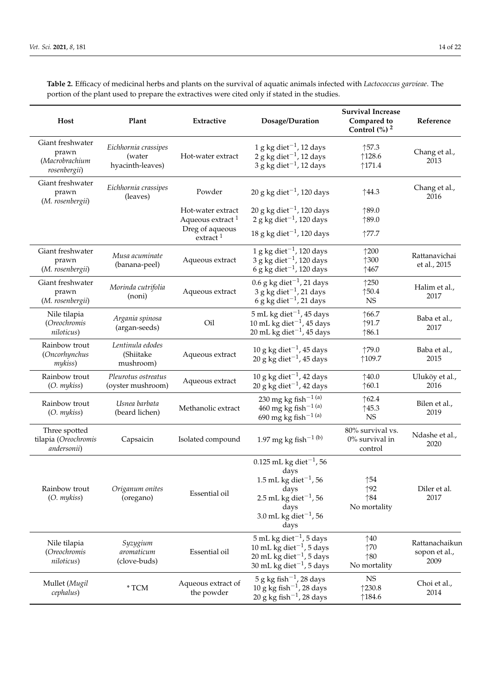**Table 2.** Efficacy of medicinal herbs and plants on the survival of aquatic animals infected with *Lactococcus garvieae*. The portion of the plant used to prepare the extractives were cited only if stated in the studies.

| Host                                                        | Plant                                              | Extractive                                                                             | Dosage/Duration                                                                                                                                                                      | <b>Survival Increase</b><br>Compared to<br>Control $\left(\frac{9}{6}\right)^2$ | Reference                               |
|-------------------------------------------------------------|----------------------------------------------------|----------------------------------------------------------------------------------------|--------------------------------------------------------------------------------------------------------------------------------------------------------------------------------------|---------------------------------------------------------------------------------|-----------------------------------------|
| Giant freshwater<br>prawn<br>(Macrobrachium<br>rosenbergii) | Eichhornia crassipes<br>(water<br>hyacinth-leaves) | Hot-water extract                                                                      | 1 g kg diet <sup>-1</sup> , 12 days<br>$2 g kg diet^{-1}$ , 12 days<br>$3$ g kg diet <sup>-1</sup> , 12 days                                                                         | ↑57.3<br>↑128.6<br>$\uparrow$ 171.4                                             | Chang et al.,<br>2013                   |
| Giant freshwater<br>prawn<br>(M. rosenbergii)               | Eichhornia crassipes<br>(leaves)                   | Powder                                                                                 | 20 g kg diet <sup><math>-1</math></sup> , 120 days                                                                                                                                   | ↑44.3                                                                           | Chang et al.,<br>2016                   |
|                                                             |                                                    | Hot-water extract<br>Aqueous extract <sup>1</sup><br>Dreg of aqueous<br>$extrac{1}{1}$ | 20 g kg diet <sup>-1</sup> , 120 days<br>2 g kg diet $^{-1}$ , 120 days<br>18 g kg diet <sup><math>-1</math></sup> , 120 days                                                        | ↑89.0<br>↑89.0<br>$\uparrow$ 77.7                                               |                                         |
| Giant freshwater<br>prawn<br>(M. rosenbergii)               | Musa acuminate<br>(banana-peel)                    | Aqueous extract                                                                        | 1 g kg diet <sup><math>-1</math></sup> , 120 days<br>$3$ g kg diet <sup><math>-1</math></sup> , 120 days<br>6 g kg diet $^{-1}$ , 120 days                                           | $\uparrow$ 200<br>↑300<br>↑467                                                  | Rattanavichai<br>et al., 2015           |
| Giant freshwater<br>prawn<br>(M. rosenbergii)               | Morinda cutrifolia<br>(noni)                       | Aqueous extract                                                                        | $0.6$ g kg diet <sup>-1</sup> , 21 days<br>$3$ g kg diet <sup>-1</sup> , 21 days<br>6 g kg diet <sup>-1</sup> , 21 days                                                              | $\uparrow$ 250<br>$\dagger$ 50.4<br><b>NS</b>                                   | Halim et al.,<br>2017                   |
| Nile tilapia<br>(Oreochromis<br>niloticus)                  | Argania spinosa<br>(argan-seeds)                   | Oil                                                                                    | $5$ mL kg diet <sup><math>-1</math></sup> , 45 days<br>10 mL kg diet $^{-1}$ , 45 days<br>20 mL kg diet <sup>-1</sup> , 45 days                                                      | ↑66.7<br>$\uparrow$ 91.7<br>$\uparrow 86.1$                                     | Baba et al.,<br>2017                    |
| Rainbow trout<br>(Oncorhynchus<br>mykiss)                   | Lentinula edodes<br>(Shiitake<br>mushroom)         | Aqueous extract                                                                        | 10 g kg diet <sup>-1</sup> , 45 days<br>20 g kg diet <sup><math>-1</math></sup> , 45 days                                                                                            | ↑79.0<br>↑109.7                                                                 | Baba et al.,<br>2015                    |
| Rainbow trout<br>(O. mykiss)                                | Pleurotus ostreatus<br>(oyster mushroom)           | Aqueous extract                                                                        | 10 g kg diet <sup>-1</sup> , 42 days<br>20 g kg diet <sup>-1</sup> , 42 days                                                                                                         | ↑40.0<br>↑60.1                                                                  | Uluköy et al.,<br>2016                  |
| Rainbow trout<br>(O. mykiss)                                | Usnea barbata<br>(beard lichen)                    | Methanolic extract                                                                     | 230 mg kg fish <sup>-1 (a)</sup><br>460 mg kg fish <sup>-1 (a)</sup><br>690 mg kg fish <sup>-1 (a)</sup>                                                                             | $\uparrow$ 62.4<br>145.3<br><b>NS</b>                                           | Bilen et al.,<br>2019                   |
| Three spotted<br>tilapia (Oreochromis<br>andersonii)        | Capsaicin                                          | Isolated compound                                                                      | 1.97 mg kg fish <sup>-1 (b)</sup>                                                                                                                                                    | 80% survival vs.<br>$0\%$ survival in<br>control                                | Ndashe et al.,<br>2020                  |
| Rainbow trout<br>(O. mykiss)                                | Origanum onites<br>(oregano)                       | Essential oil                                                                          | $0.125$ mL kg diet <sup>-1</sup> , 56<br>days<br>1.5 mL kg diet <sup>-1</sup> , 56<br>days<br>2.5 mL kg diet <sup>-1</sup> , 56<br>days<br>3.0 mL kg diet <sup>-1</sup> , 56<br>days | $\uparrow$ 54<br>↑92<br>$\uparrow$ 84<br>No mortality                           | Diler et al.<br>2017                    |
| Nile tilapia<br>(Oreochromis<br>niloticus)                  | Syzygium<br>aromaticum<br>(clove-buds)             | Essential oil                                                                          | $5$ mL kg diet <sup>-1</sup> , 5 days<br>10 mL kg diet $^{-1}$ , 5 days<br>20 mL kg diet $^{-1}$ , 5 days<br>30 mL kg diet <sup><math>-1</math></sup> , 5 days                       | $\uparrow$ 40<br>$\uparrow$ 70<br>$\uparrow$ 80<br>No mortality                 | Rattanachaikun<br>sopon et al.,<br>2009 |
| Mullet (Mugil<br>cephalus)                                  | $^\ast$ TCM                                        | Aqueous extract of<br>the powder                                                       | $5$ g kg fish <sup><math>-1</math></sup> , 28 days<br>$10$ g kg fish <sup><math>-1</math></sup> , 28 days<br>$20 \text{ g kg}$ fish <sup>-1</sup> , 28 days                          | <b>NS</b><br>$*230.8$<br>$\uparrow$ 184.6                                       | Choi et al.,<br>2014                    |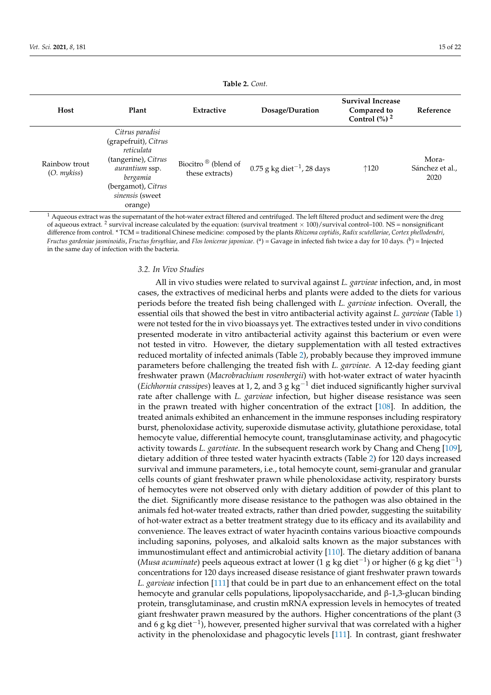<span id="page-14-0"></span>

| Host                              | Plant                                                                                                                                                          | Extractive                                         | Dosage/Duration                          | <b>Survival Increase</b><br>Compared to<br>Control $\left(\frac{0}{0}\right)^2$ | Reference                        |
|-----------------------------------|----------------------------------------------------------------------------------------------------------------------------------------------------------------|----------------------------------------------------|------------------------------------------|---------------------------------------------------------------------------------|----------------------------------|
| Rainbow trout<br>$(O.$ mykiss $)$ | Citrus paradisi<br>(grapefruit), Citrus<br>reticulata<br>(tangerine), Citrus<br>aurantium ssp.<br>bergamia<br>(bergamot), Citrus<br>sinensis (sweet<br>orange) | Biocitro <sup>®</sup> (blend of<br>these extracts) | $0.75$ g kg diet <sup>-1</sup> , 28 days | $\uparrow$ 120                                                                  | Mora-<br>Sánchez et al.,<br>2020 |

 $1$  Aqueous extract was the supernatant of the hot-water extract filtered and centrifuged. The left filtered product and sediment were the dreg of aqueous extract. <sup>2</sup> survival increase calculated by the equation: (survival treatment  $\times$  100)/survival control–100. NS = nonsignificant difference from control. \* TCM = traditional Chinese medicine: composed by the plants *Rhizoma coptidis*, *Radix scutellariae*, *Cortex phellodendri*, *Fructus gardeniae jasminoidis, Fructus forsythiae,* and *Flos lonicerae japonicae*. (<sup>a</sup>) = Gavage in infected fish twice a day for 10 days. (<sup>b</sup>) = Injected in the same day of infection with the bacteria.

# *3.2. In Vivo Studies*

All in vivo studies were related to survival against *L. garvieae* infection, and, in most cases, the extractives of medicinal herbs and plants were added to the diets for various periods before the treated fish being challenged with *L. garvieae* infection. Overall, the essential oils that showed the best in vitro antibacterial activity against *L. garvieae* (Table [1\)](#page-12-0) were not tested for the in vivo bioassays yet. The extractives tested under in vivo conditions presented moderate in vitro antibacterial activity against this bacterium or even were not tested in vitro. However, the dietary supplementation with all tested extractives reduced mortality of infected animals (Table [2\)](#page-14-0), probably because they improved immune parameters before challenging the treated fish with *L. garvieae*. A 12-day feeding giant freshwater prawn (*Macrobrachium rosenbergii*) with hot-water extract of water hyacinth (*Eichhornia crassipes*) leaves at 1, 2, and 3 g kg−<sup>1</sup> diet induced significantly higher survival rate after challenge with *L. garvieae* infection, but higher disease resistance was seen in the prawn treated with higher concentration of the extract [\[108\]](#page-21-4). In addition, the treated animals exhibited an enhancement in the immune responses including respiratory burst, phenoloxidase activity, superoxide dismutase activity, glutathione peroxidase, total hemocyte value, differential hemocyte count, transglutaminase activity, and phagocytic activity towards *L. garvtieae*. In the subsequent research work by Chang and Cheng [\[109\]](#page-21-5), dietary addition of three tested water hyacinth extracts (Table [2\)](#page-14-0) for 120 days increased survival and immune parameters, i.e., total hemocyte count, semi-granular and granular cells counts of giant freshwater prawn while phenoloxidase activity, respiratory bursts of hemocytes were not observed only with dietary addition of powder of this plant to the diet. Significantly more disease resistance to the pathogen was also obtained in the animals fed hot-water treated extracts, rather than dried powder, suggesting the suitability of hot-water extract as a better treatment strategy due to its efficacy and its availability and convenience. The leaves extract of water hyacinth contains various bioactive compounds including saponins, polyoses, and alkaloid salts known as the major substances with immunostimulant effect and antimicrobial activity [\[110\]](#page-21-6). The dietary addition of banana (*Musa acuminate*) peels aqueous extract at lower (1 g kg diet<sup>-1</sup>) or higher (6 g kg diet<sup>-1</sup>) concentrations for 120 days increased disease resistance of giant freshwater prawn towards *L. garvieae* infection [\[111\]](#page-21-7) that could be in part due to an enhancement effect on the total hemocyte and granular cells populations, lipopolysaccharide, and β-1,3-glucan binding protein, transglutaminase, and crustin mRNA expression levels in hemocytes of treated giant freshwater prawn measured by the authors. Higher concentrations of the plant (3 and 6 g kg diet $^{-1}$ ), however, presented higher survival that was correlated with a higher activity in the phenoloxidase and phagocytic levels [\[111\]](#page-21-7). In contrast, giant freshwater

**Table 2.** *Cont.*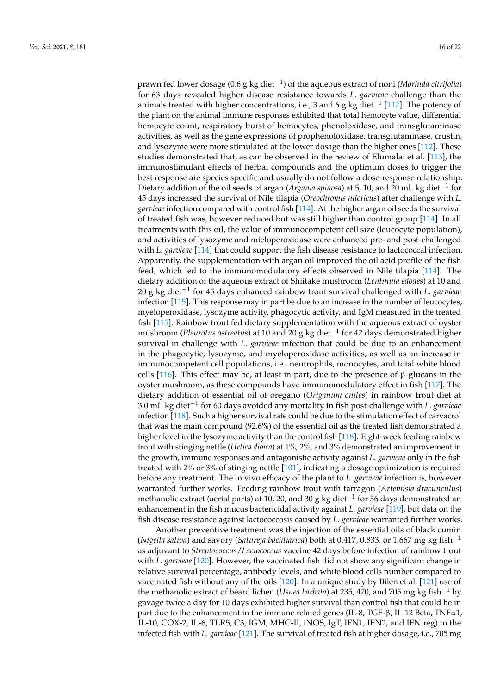prawn fed lower dosage (0.6 g kg diet−<sup>1</sup> ) of the aqueous extract of noni (*Morinda citrifolia*) for 63 days revealed higher disease resistance towards *L. garvieae* challenge than the animals treated with higher concentrations, i.e., 3 and 6 g kg diet−<sup>1</sup> [\[112\]](#page-21-8). The potency of the plant on the animal immune responses exhibited that total hemocyte value, differential hemocyte count, respiratory burst of hemocytes, phenoloxidase, and transglutaminase activities, as well as the gene expressions of prophenoloxidase, transglutaminase, crustin, and lysozyme were more stimulated at the lower dosage than the higher ones [\[112\]](#page-21-8). These studies demonstrated that, as can be observed in the review of Elumalai et al. [\[113\]](#page-21-9), the immunostimulant effects of herbal compounds and the optimum doses to trigger the best response are species specific and usually do not follow a dose-response relationship. Dietary addition of the oil seeds of argan (*Argania spinosa*) at 5, 10, and 20 mL kg diet−<sup>1</sup> for 45 days increased the survival of Nile tilapia (*Oreochromis niloticus*) after challenge with *L. garvieae* infection compared with control fish [\[114\]](#page-21-10). At the higher argan oil seeds the survival of treated fish was, however reduced but was still higher than control group [\[114\]](#page-21-10). In all treatments with this oil, the value of immunocompetent cell size (leucocyte population), and activities of lysozyme and mieloperoxidase were enhanced pre- and post-challenged with *L. garvieae* [\[114\]](#page-21-10) that could support the fish disease resistance to lactococcal infection. Apparently, the supplementation with argan oil improved the oil acid profile of the fish feed, which led to the immunomodulatory effects observed in Nile tilapia [\[114\]](#page-21-10). The dietary addition of the aqueous extract of Shiitake mushroom (*Lentinula edodes*) at 10 and 20 g kg diet−<sup>1</sup> for 45 days enhanced rainbow trout survival challenged with *L. garvieae* infection [\[115\]](#page-21-11). This response may in part be due to an increase in the number of leucocytes, myeloperoxidase, lysozyme activity, phagocytic activity, and IgM measured in the treated fish [\[115\]](#page-21-11). Rainbow trout fed dietary supplementation with the aqueous extract of oyster mushroom (*Pleurotus ostreatus*) at 10 and 20 g kg diet−<sup>1</sup> for 42 days demonstrated higher survival in challenge with *L. garvieae* infection that could be due to an enhancement in the phagocytic, lysozyme, and myeloperoxidase activities, as well as an increase in immunocompetent cell populations, i.e., neutrophils, monocytes, and total white blood cells [\[116\]](#page-21-12). This effect may be, at least in part, due to the presence of β-glucans in the oyster mushroom, as these compounds have immunomodulatory effect in fish [\[117\]](#page-21-13). The dietary addition of essential oil of oregano (*Origanum onites*) in rainbow trout diet at 3.0 mL kg diet−<sup>1</sup> for 60 days avoided any mortality in fish post-challenge with *L. garvieae* infection [\[118\]](#page-21-14). Such a higher survival rate could be due to the stimulation effect of carvacrol that was the main compound (92.6%) of the essential oil as the treated fish demonstrated a higher level in the lysozyme activity than the control fish [\[118\]](#page-21-14). Eight-week feeding rainbow trout with stinging nettle (*Urtica dioica*) at 1%, 2%, and 3% demonstrated an improvement in the growth, immune responses and antagonistic activity against *L. garvieae* only in the fish treated with 2% or 3% of stinging nettle [\[101\]](#page-20-23), indicating a dosage optimization is required before any treatment. The in vivo efficacy of the plant to *L. garvieae* infection is, however warranted further works. Feeding rainbow trout with tarragon (*Artemisia dracunculus*) methanolic extract (aerial parts) at 10, 20, and 30 g kg diet $^{-1}$  for 56 days demonstrated an enhancement in the fish mucus bactericidal activity against *L. garvieae* [\[119\]](#page-21-15), but data on the fish disease resistance against lactococcosis caused by *L. garvieae* warranted further works.

Another preventive treatment was the injection of the essential oils of black cumin (*Nigella sativa*) and savory (*Satureja bachtiarica*) both at 0.417, 0.833, or 1.667 mg kg fish−<sup>1</sup> as adjuvant to *Streptococcus*/*Lactococcus* vaccine 42 days before infection of rainbow trout with *L. garvieae* [\[120\]](#page-21-16). However, the vaccinated fish did not show any significant change in relative survival percentage, antibody levels, and white blood cells number compared to vaccinated fish without any of the oils [\[120\]](#page-21-16). In a unique study by Bilen et al. [\[121\]](#page-21-17) use of the methanolic extract of beard lichen (*Usnea barbata*) at 235, 470, and 705 mg kg fish−<sup>1</sup> by gavage twice a day for 10 days exhibited higher survival than control fish that could be in part due to the enhancement in the immune related genes (IL-8, TGF-β, IL-12 Beta, TNFα1, IL-10, COX-2, IL-6, TLR5, C3, IGM, MHC-II, iNOS, IgT, IFN1, IFN2, and IFN reg) in the infected fish with *L. garvieae* [\[121\]](#page-21-17). The survival of treated fish at higher dosage, i.e., 705 mg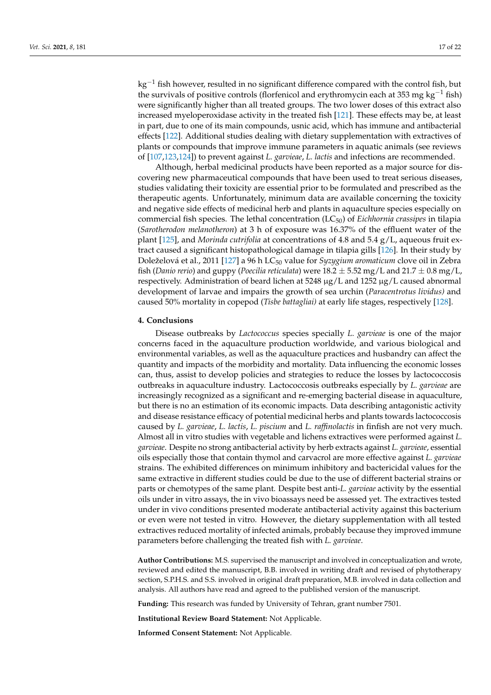kg−<sup>1</sup> fish however, resulted in no significant difference compared with the control fish, but the survivals of positive controls (florfenicol and erythromycin each at 353 mg kg<sup>-1</sup> fish) were significantly higher than all treated groups. The two lower doses of this extract also increased myeloperoxidase activity in the treated fish [\[121\]](#page-21-17). These effects may be, at least in part, due to one of its main compounds, usnic acid, which has immune and antibacterial effects [\[122\]](#page-21-18). Additional studies dealing with dietary supplementation with extractives of plants or compounds that improve immune parameters in aquatic animals (see reviews of [\[107](#page-21-3)[,123,](#page-21-19)[124\]](#page-21-20)) to prevent against *L. garvieae*, *L. lactis* and infections are recommended.

Although, herbal medicinal products have been reported as a major source for discovering new pharmaceutical compounds that have been used to treat serious diseases, studies validating their toxicity are essential prior to be formulated and prescribed as the therapeutic agents. Unfortunately, minimum data are available concerning the toxicity and negative side effects of medicinal herb and plants in aquaculture species especially on commercial fish species. The lethal concentration (LC50) of *Eichhornia crassipes* in tilapia (*Sarotherodon melanotheron*) at 3 h of exposure was 16.37% of the effluent water of the plant [\[125\]](#page-21-21), and *Morinda cutrifolia* at concentrations of 4.8 and 5.4 g/L, aqueous fruit extract caused a significant histopathological damage in tilapia gills [\[126\]](#page-21-22). In their study by Doleželová et al., 2011 [\[127\]](#page-21-23) a 96 h LC<sup>50</sup> value for *Syzygium aromaticum* clove oil in Zebra fish (*Danio rerio*) and guppy (*Poecilia reticulata*) were  $18.2 \pm 5.52$  mg/L and  $21.7 \pm 0.8$  mg/L, respectively. Administration of beard lichen at  $5248 \mu g/L$  and  $1252 \mu g/L$  caused abnormal development of larvae and impairs the growth of sea urchin (*Paracentrotus lividus)* and caused 50% mortality in copepod (*Tisbe battagliai)* at early life stages, respectively [\[128\]](#page-21-24).

#### **4. Conclusions**

Disease outbreaks by *Lactococcus* species specially *L. garvieae* is one of the major concerns faced in the aquaculture production worldwide, and various biological and environmental variables, as well as the aquaculture practices and husbandry can affect the quantity and impacts of the morbidity and mortality. Data influencing the economic losses can, thus, assist to develop policies and strategies to reduce the losses by lactococcosis outbreaks in aquaculture industry. Lactococcosis outbreaks especially by *L. garvieae* are increasingly recognized as a significant and re-emerging bacterial disease in aquaculture, but there is no an estimation of its economic impacts. Data describing antagonistic activity and disease resistance efficacy of potential medicinal herbs and plants towards lactococcosis caused by *L. garvieae*, *L. lactis*, *L. piscium* and *L. raffinolactis* in finfish are not very much. Almost all in vitro studies with vegetable and lichens extractives were performed against *L. garvieae*. Despite no strong antibacterial activity by herb extracts against *L. garvieae*, essential oils especially those that contain thymol and carvacrol are more effective against *L. garvieae* strains. The exhibited differences on minimum inhibitory and bactericidal values for the same extractive in different studies could be due to the use of different bacterial strains or parts or chemotypes of the same plant. Despite best anti-*L. garvieae* activity by the essential oils under in vitro assays, the in vivo bioassays need be assessed yet. The extractives tested under in vivo conditions presented moderate antibacterial activity against this bacterium or even were not tested in vitro. However, the dietary supplementation with all tested extractives reduced mortality of infected animals, probably because they improved immune parameters before challenging the treated fish with *L. garvieae*.

**Author Contributions:** M.S. supervised the manuscript and involved in conceptualization and wrote, reviewed and edited the manuscript, B.B. involved in writing draft and revised of phytotherapy section, S.P.H.S. and S.S. involved in original draft preparation, M.B. involved in data collection and analysis. All authors have read and agreed to the published version of the manuscript.

**Funding:** This research was funded by University of Tehran, grant number 7501.

**Institutional Review Board Statement:** Not Applicable.

**Informed Consent Statement:** Not Applicable.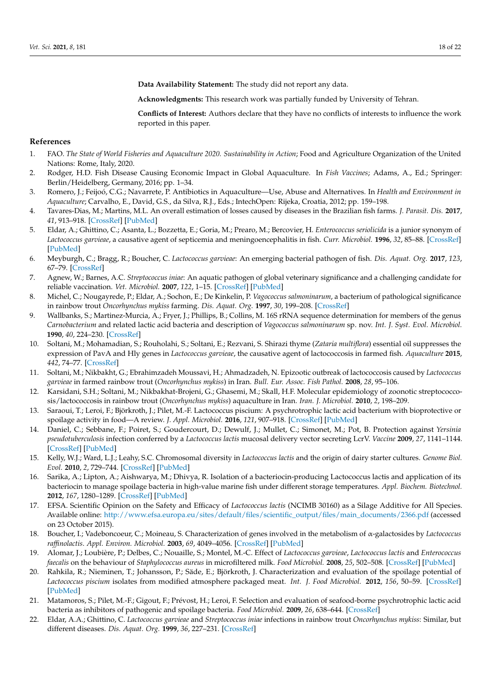**Data Availability Statement:** The study did not report any data.

**Acknowledgments:** This research work was partially funded by University of Tehran.

**Conflicts of Interest:** Authors declare that they have no conflicts of interests to influence the work reported in this paper.

#### **References**

- <span id="page-17-0"></span>1. FAO. The State of World Fisheries and Aquaculture 2020. Sustainability in Action; Food and Agriculture Organization of the United Nations: Rome, Italy, 2020.
- <span id="page-17-1"></span>2. Rodger, H.D. Fish Disease Causing Economic Impact in Global Aquaculture. In *Fish Vaccines*; Adams, A., Ed.; Springer: Berlin/Heidelberg, Germany, 2016; pp. 1–34.
- <span id="page-17-18"></span>3. Romero, J.; Feijoó, C.G.; Navarrete, P. Antibiotics in Aquaculture—Use, Abuse and Alternatives. In *Health and Environment in Aquaculture*; Carvalho, E., David, G.S., da Silva, R.J., Eds.; IntechOpen: Rijeka, Croatia, 2012; pp. 159–198.
- <span id="page-17-2"></span>4. Tavares-Dias, M.; Martins, M.L. An overall estimation of losses caused by diseases in the Brazilian fish farms. *J. Parasit. Dis.* **2017**, *41*, 913–918. [\[CrossRef\]](http://doi.org/10.1007/s12639-017-0938-y) [\[PubMed\]](http://www.ncbi.nlm.nih.gov/pubmed/29114119)
- <span id="page-17-3"></span>5. Eldar, A.; Ghittino, C.; Asanta, L.; Bozzetta, E.; Goria, M.; Prearo, M.; Bercovier, H. *Enterococcus seriolicida* is a junior synonym of *Lactococcus garvieae*, a causative agent of septicemia and meningoencephalitis in fish. *Curr. Microbiol.* **1996**, *32*, 85–88. [\[CrossRef\]](http://doi.org/10.1007/s002849900015) [\[PubMed\]](http://www.ncbi.nlm.nih.gov/pubmed/8574132)
- <span id="page-17-4"></span>6. Meyburgh, C.; Bragg, R.; Boucher, C. *Lactococcus garvieae*: An emerging bacterial pathogen of fish. *Dis. Aquat. Org.* **2017**, *123*, 67–79. [\[CrossRef\]](http://doi.org/10.3354/dao03083)
- <span id="page-17-5"></span>7. Agnew, W.; Barnes, A.C. *Streptococcus iniae*: An aquatic pathogen of global veterinary significance and a challenging candidate for reliable vaccination. *Vet. Microbiol.* **2007**, *122*, 1–15. [\[CrossRef\]](http://doi.org/10.1016/j.vetmic.2007.03.002) [\[PubMed\]](http://www.ncbi.nlm.nih.gov/pubmed/17418985)
- <span id="page-17-6"></span>8. Michel, C.; Nougayrede, P.; Eldar, A.; Sochon, E.; De Kinkelin, P. *Vagococcus salmoninarum*, a bacterium of pathological significance in rainbow trout *Oncorhynchus mykiss* farming. *Dis. Aquat. Org.* **1997**, *30*, 199–208. [\[CrossRef\]](http://doi.org/10.3354/dao030199)
- <span id="page-17-7"></span>9. Wallbanks, S.; Martinez-Murcia, A.; Fryer, J.; Phillips, B.; Collins, M. 16S rRNA sequence determination for members of the genus *Carnobacterium* and related lactic acid bacteria and description of *Vagococcus salmoninarum* sp. nov. *Int. J. Syst. Evol. Microbiol.* **1990**, *40*, 224–230. [\[CrossRef\]](http://doi.org/10.1099/00207713-40-3-224)
- <span id="page-17-8"></span>10. Soltani, M.; Mohamadian, S.; Rouholahi, S.; Soltani, E.; Rezvani, S. Shirazi thyme (*Zataria multiflora*) essential oil suppresses the expression of PavA and Hly genes in *Lactococcus garvieae*, the causative agent of lactococcosis in farmed fish. *Aquaculture* **2015**, *442*, 74–77. [\[CrossRef\]](http://doi.org/10.1016/j.aquaculture.2015.03.001)
- <span id="page-17-16"></span>11. Soltani, M.; Nikbakht, G.; Ebrahimzadeh Moussavi, H.; Ahmadzadeh, N. Epizootic outbreak of lactococcosis caused by *Lactococcus garvieae* in farmed rainbow trout (*Oncorhynchus mykiss*) in Iran. *Bull. Eur. Assoc. Fish Pathol.* **2008**, *28*, 95–106.
- <span id="page-17-9"></span>12. Karsidani, S.H.; Soltani, M.; Nikbakhat-Brojeni, G.; Ghasemi, M.; Skall, H.F. Molecular epidemiology of zoonotic streptococcosis/lactococcosis in rainbow trout (*Oncorhynchus mykiss*) aquaculture in Iran. *Iran. J. Microbiol.* **2010**, *2*, 198–209.
- <span id="page-17-10"></span>13. Saraoui, T.; Leroi, F.; Björkroth, J.; Pilet, M.-F. Lactococcus piscium: A psychrotrophic lactic acid bacterium with bioprotective or spoilage activity in food—A review. *J. Appl. Microbiol.* **2016**, *121*, 907–918. [\[CrossRef\]](http://doi.org/10.1111/jam.13179) [\[PubMed\]](http://www.ncbi.nlm.nih.gov/pubmed/27172050)
- <span id="page-17-11"></span>14. Daniel, C.; Sebbane, F.; Poiret, S.; Goudercourt, D.; Dewulf, J.; Mullet, C.; Simonet, M.; Pot, B. Protection against *Yersinia pseudotuberculosis* infection conferred by a *Lactococcus lactis* mucosal delivery vector secreting LcrV. *Vaccine* **2009**, *27*, 1141–1144. [\[CrossRef\]](http://doi.org/10.1016/j.vaccine.2008.12.022) [\[PubMed\]](http://www.ncbi.nlm.nih.gov/pubmed/19135495)
- 15. Kelly, W.J.; Ward, L.J.; Leahy, S.C. Chromosomal diversity in *Lactococcus lactis* and the origin of dairy starter cultures. *Genome Biol. Evol.* **2010**, *2*, 729–744. [\[CrossRef\]](http://doi.org/10.1093/gbe/evq056) [\[PubMed\]](http://www.ncbi.nlm.nih.gov/pubmed/20847124)
- <span id="page-17-12"></span>16. Sarika, A.; Lipton, A.; Aishwarya, M.; Dhivya, R. Isolation of a bacteriocin-producing Lactococcus lactis and application of its bacteriocin to manage spoilage bacteria in high-value marine fish under different storage temperatures. *Appl. Biochem. Biotechnol.* **2012**, *167*, 1280–1289. [\[CrossRef\]](http://doi.org/10.1007/s12010-012-9701-0) [\[PubMed\]](http://www.ncbi.nlm.nih.gov/pubmed/22555500)
- <span id="page-17-13"></span>17. EFSA. Scientific Opinion on the Safety and Efficacy of *Lactococcus lactis* (NCIMB 30160) as a Silage Additive for All Species. Available online: [http://www.efsa.europa.eu/sites/default/files/scientific\\_output/files/main\\_documents/2366.pdf](http://www.efsa.europa.eu/sites/default/files/scientific_output/files/main_documents/2366.pdf) (accessed on 23 October 2015).
- <span id="page-17-14"></span>18. Boucher, I.; Vadeboncoeur, C.; Moineau, S. Characterization of genes involved in the metabolism of α-galactosides by *Lactococcus raffinolactis*. *Appl. Environ. Microbiol.* **2003**, *69*, 4049–4056. [\[CrossRef\]](http://doi.org/10.1128/AEM.69.7.4049-4056.2003) [\[PubMed\]](http://www.ncbi.nlm.nih.gov/pubmed/12839781)
- 19. Alomar, J.; Loubière, P.; Delbes, C.; Nouaille, S.; Montel, M.-C. Effect of *Lactococcus garvieae*, *Lactococcus lactis* and *Enterococcus faecalis* on the behaviour of *Staphylococcus aureus* in microfiltered milk. *Food Microbiol.* **2008**, *25*, 502–508. [\[CrossRef\]](http://doi.org/10.1016/j.fm.2008.01.005) [\[PubMed\]](http://www.ncbi.nlm.nih.gov/pubmed/18355675)
- 20. Rahkila, R.; Nieminen, T.; Johansson, P.; Säde, E.; Björkroth, J. Characterization and evaluation of the spoilage potential of *Lactococcus piscium* isolates from modified atmosphere packaged meat. *Int. J. Food Microbiol.* **2012**, *156*, 50–59. [\[CrossRef\]](http://doi.org/10.1016/j.ijfoodmicro.2012.02.022) [\[PubMed\]](http://www.ncbi.nlm.nih.gov/pubmed/22445914)
- <span id="page-17-15"></span>21. Matamoros, S.; Pilet, M.-F.; Gigout, F.; Prévost, H.; Leroi, F. Selection and evaluation of seafood-borne psychrotrophic lactic acid bacteria as inhibitors of pathogenic and spoilage bacteria. *Food Microbiol.* **2009**, *26*, 638–644. [\[CrossRef\]](http://doi.org/10.1016/j.fm.2009.04.011)
- <span id="page-17-17"></span>22. Eldar, A.A.; Ghittino, C. *Lactococcus garvieae* and *Streptococcus iniae* infections in rainbow trout *Oncorhynchus mykiss*: Similar, but different diseases. *Dis. Aquat. Org.* **1999**, *36*, 227–231. [\[CrossRef\]](http://doi.org/10.3354/dao036227)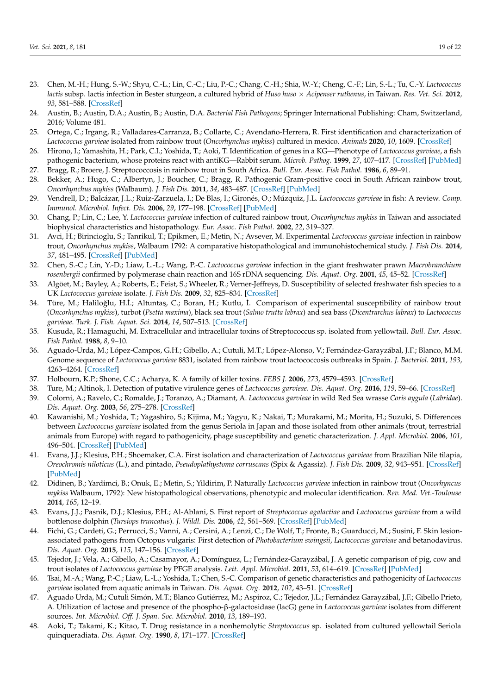- <span id="page-18-0"></span>23. Chen, M.-H.; Hung, S.-W.; Shyu, C.-L.; Lin, C.-C.; Liu, P.-C.; Chang, C.-H.; Shia, W.-Y.; Cheng, C.-F.; Lin, S.-L.; Tu, C.-Y. *Lactococcus lactis* subsp. lactis infection in Bester sturgeon, a cultured hybrid of *Huso huso* × *Acipenser ruthenus*, in Taiwan. *Res. Vet. Sci.* **2012**, *93*, 581–588. [\[CrossRef\]](http://doi.org/10.1016/j.rvsc.2011.10.007)
- <span id="page-18-1"></span>24. Austin, B.; Austin, D.A.; Austin, B.; Austin, D.A. *Bacterial Fish Pathogens*; Springer International Publishing: Cham, Switzerland, 2016; Volume 481.
- <span id="page-18-2"></span>25. Ortega, C.; Irgang, R.; Valladares-Carranza, B.; Collarte, C.; Avendaño-Herrera, R. First identification and characterization of *Lactococcus garvieae* isolated from rainbow trout (*Oncorhynchus mykiss*) cultured in mexico. *Animals* **2020**, *10*, 1609. [\[CrossRef\]](http://doi.org/10.3390/ani10091609)
- <span id="page-18-3"></span>26. Hirono, I.; Yamashita, H.; Park, C.I.; Yoshida, T.; Aoki, T. Identification of genes in a KG—Phenotype of *Lactococcus garvieae*, a fish pathogenic bacterium, whose proteins react with antiKG—Rabbit serum. *Microb. Pathog.* **1999**, *27*, 407–417. [\[CrossRef\]](http://doi.org/10.1006/mpat.1999.0316) [\[PubMed\]](http://www.ncbi.nlm.nih.gov/pubmed/10588913)
- <span id="page-18-5"></span><span id="page-18-4"></span>27. Bragg, R.; Broere, J. Streptococcosis in rainbow trout in South Africa. *Bull. Eur. Assoc. Fish Pathol.* **1986**, *6*, 89–91. 28. Bekker, A.; Hugo, C.; Albertyn, J.; Boucher, C.; Bragg, R. Pathogenic Gram-positive cocci in South African rainbow trout,
- <span id="page-18-6"></span>*Oncorhynchus mykiss* (Walbaum). *J. Fish Dis.* **2011**, *34*, 483–487. [\[CrossRef\]](http://doi.org/10.1111/j.1365-2761.2011.01259.x) [\[PubMed\]](http://www.ncbi.nlm.nih.gov/pubmed/21545442) 29. Vendrell, D.; Balcázar, J.L.; Ruiz-Zarzuela, I.; De Blas, I.; Gironés, O.; Múzquiz, J.L. *Lactococcus garvieae* in fish: A review. *Comp.*
- *Immunol. Microbiol. Infect. Dis.* **2006**, *29*, 177–198. [\[CrossRef\]](http://doi.org/10.1016/j.cimid.2006.06.003) [\[PubMed\]](http://www.ncbi.nlm.nih.gov/pubmed/16935332)
- <span id="page-18-7"></span>30. Chang, P.; Lin, C.; Lee, Y. *Lactococcus garvieae* infection of cultured rainbow trout, *Oncorhynchus mykiss* in Taiwan and associated biophysical characteristics and histopathology. *Eur. Assoc. Fish Pathol.* **2002**, *22*, 319–327.
- <span id="page-18-10"></span>31. Avci, H.; Birincioglu, S.; Tanrikul, T.; Epikmen, E.; Metin, N.; Avsever, M. Experimental *Lactococcus garvieae* infection in rainbow trout, *Oncorhynchus mykiss*, Walbaum 1792: A comparative histopathological and immunohistochemical study. *J. Fish Dis.* **2014**, *37*, 481–495. [\[CrossRef\]](http://doi.org/10.1111/jfd.12132) [\[PubMed\]](http://www.ncbi.nlm.nih.gov/pubmed/23957738)
- <span id="page-18-8"></span>32. Chen, S.-C.; Lin, Y.-D.; Liaw, L.-L.; Wang, P.-C. *Lactococcus garvieae* infection in the giant freshwater prawn *Macrobranchium rosenbergii* confirmed by polymerase chain reaction and 16S rDNA sequencing. *Dis. Aquat. Org.* **2001**, *45*, 45–52. [\[CrossRef\]](http://doi.org/10.3354/dao045045)
- <span id="page-18-9"></span>33. Algöet, M.; Bayley, A.; Roberts, E.; Feist, S.; Wheeler, R.; Verner-Jeffreys, D. Susceptibility of selected freshwater fish species to a UK *Lactococcus garvieae* isolate. *J. Fish Dis.* **2009**, *32*, 825–834. [\[CrossRef\]](http://doi.org/10.1111/j.1365-2761.2009.01058.x)
- <span id="page-18-11"></span>34. Türe, M.; Haliloğlu, H.İ.; Altuntaş, C.; Boran, H.; Kutlu, İ. Comparison of experimental susceptibility of rainbow trout (*Oncorhynchus mykiss*), turbot (*Psetta maxima*), black sea trout (*Salmo trutta labrax*) and sea bass (*Dicentrarchus labrax*) to *Lactococcus garvieae*. *Turk. J. Fish. Aquat. Sci.* **2014**, *14*, 507–513. [\[CrossRef\]](http://doi.org/10.4194/1303-2712-v14_2_22)
- <span id="page-18-12"></span>35. Kusuda, R.; Hamaguchi, M. Extracellular and intracellular toxins of Streptococcus sp. isolated from yellowtail. *Bull. Eur. Assoc. Fish Pathol.* **1988**, *8*, 9–10.
- <span id="page-18-13"></span>36. Aguado-Urda, M.; López-Campos, G.H.; Gibello, A.; Cutuli, M.T.; López-Alonso, V.; Fernández-Garayzábal, J.F.; Blanco, M.M. Genome sequence of *Lactococcus garvieae* 8831, isolated from rainbow trout lactococcosis outbreaks in Spain. *J. Bacteriol.* **2011**, *193*, 4263–4264. [\[CrossRef\]](http://doi.org/10.1128/JB.05326-11)
- <span id="page-18-14"></span>37. Holbourn, K.P.; Shone, C.C.; Acharya, K. A family of killer toxins. *FEBS J.* **2006**, *273*, 4579–4593. [\[CrossRef\]](http://doi.org/10.1111/j.1742-4658.2006.05442.x)
- <span id="page-18-15"></span>38. Ture, M.; Altinok, I. Detection of putative virulence genes of *Lactococcus garvieae*. *Dis. Aquat. Org.* **2016**, *119*, 59–66. [\[CrossRef\]](http://doi.org/10.3354/dao02981)
- <span id="page-18-16"></span>39. Colorni, A.; Ravelo, C.; Romalde, J.; Toranzo, A.; Diamant, A. *Lactococcus garvieae* in wild Red Sea wrasse *Coris aygula* (*Labridae*). *Dis. Aquat. Org.* **2003**, *56*, 275–278. [\[CrossRef\]](http://doi.org/10.3354/dao056275)
- <span id="page-18-18"></span>40. Kawanishi, M.; Yoshida, T.; Yagashiro, S.; Kijima, M.; Yagyu, K.; Nakai, T.; Murakami, M.; Morita, H.; Suzuki, S. Differences between *Lactococcus garvieae* isolated from the genus Seriola in Japan and those isolated from other animals (trout, terrestrial animals from Europe) with regard to pathogenicity, phage susceptibility and genetic characterization. *J. Appl. Microbiol.* **2006**, *101*, 496–504. [\[CrossRef\]](http://doi.org/10.1111/j.1365-2672.2006.02951.x) [\[PubMed\]](http://www.ncbi.nlm.nih.gov/pubmed/16882159)
- <span id="page-18-19"></span>41. Evans, J.J.; Klesius, P.H.; Shoemaker, C.A. First isolation and characterization of *Lactococcus garvieae* from Brazilian Nile tilapia, *Oreochromis niloticus* (L.), and pintado, *Pseudoplathystoma corruscans* (Spix & Agassiz). *J. Fish Dis.* **2009**, *32*, 943–951. [\[CrossRef\]](http://doi.org/10.1111/j.1365-2761.2009.01075.x) [\[PubMed\]](http://www.ncbi.nlm.nih.gov/pubmed/19531061)
- 42. Didinen, B.; Yardimci, B.; Onuk, E.; Metin, S.; Yildirim, P. Naturally *Lactococcus garvieae* infection in rainbow trout (*Oncorhyncus mykiss* Walbaum, 1792): New histopathological observations, phenotypic and molecular identification. *Rev. Med. Vet.-Toulouse* **2014**, *165*, 12–19.
- 43. Evans, J.J.; Pasnik, D.J.; Klesius, P.H.; Al-Ablani, S. First report of *Streptococcus agalactiae* and *Lactococcus garvieae* from a wild bottlenose dolphin (*Tursiops truncatus*). *J. Wildl. Dis.* **2006**, *42*, 561–569. [\[CrossRef\]](http://doi.org/10.7589/0090-3558-42.3.561) [\[PubMed\]](http://www.ncbi.nlm.nih.gov/pubmed/17092887)
- <span id="page-18-17"></span>44. Fichi, G.; Cardeti, G.; Perrucci, S.; Vanni, A.; Cersini, A.; Lenzi, C.; De Wolf, T.; Fronte, B.; Guarducci, M.; Susini, F. Skin lesionassociated pathogens from Octopus vulgaris: First detection of *Photobacterium swingsii*, *Lactococcus garvieae* and betanodavirus. *Dis. Aquat. Org.* **2015**, *115*, 147–156. [\[CrossRef\]](http://doi.org/10.3354/dao02877)
- <span id="page-18-20"></span>45. Tejedor, J.; Vela, A.; Gibello, A.; Casamayor, A.; Domínguez, L.; Fernández-Garayzábal, J. A genetic comparison of pig, cow and trout isolates of *Lactococcus garvieae* by PFGE analysis. *Lett. Appl. Microbiol.* **2011**, *53*, 614–619. [\[CrossRef\]](http://doi.org/10.1111/j.1472-765X.2011.03153.x) [\[PubMed\]](http://www.ncbi.nlm.nih.gov/pubmed/21933202)
- <span id="page-18-21"></span>46. Tsai, M.-A.; Wang, P.-C.; Liaw, L.-L.; Yoshida, T.; Chen, S.-C. Comparison of genetic characteristics and pathogenicity of *Lactococcus garvieae* isolated from aquatic animals in Taiwan. *Dis. Aquat. Org.* **2012**, *102*, 43–51. [\[CrossRef\]](http://doi.org/10.3354/dao02516)
- <span id="page-18-22"></span>47. Aguado Urda, M.; Cutuli Simón, M.T.; Blanco Gutiérrez, M.; Aspiroz, C.; Tejedor, J.L.; Fernández Garayzábal, J.F.; Gibello Prieto, A. Utilization of lactose and presence of the phospho-β-galactosidase (lacG) gene in *Lactococcus garvieae* isolates from different sources. *Int. Microbiol. Off. J. Span. Soc. Microbiol.* **2010**, *13*, 189–193.
- <span id="page-18-23"></span>48. Aoki, T.; Takami, K.; Kitao, T. Drug resistance in a nonhemolytic *Streptococcus* sp. isolated from cultured yellowtail Seriola quinqueradiata. *Dis. Aquat. Org.* **1990**, *8*, 171–177. [\[CrossRef\]](http://doi.org/10.3354/dao008171)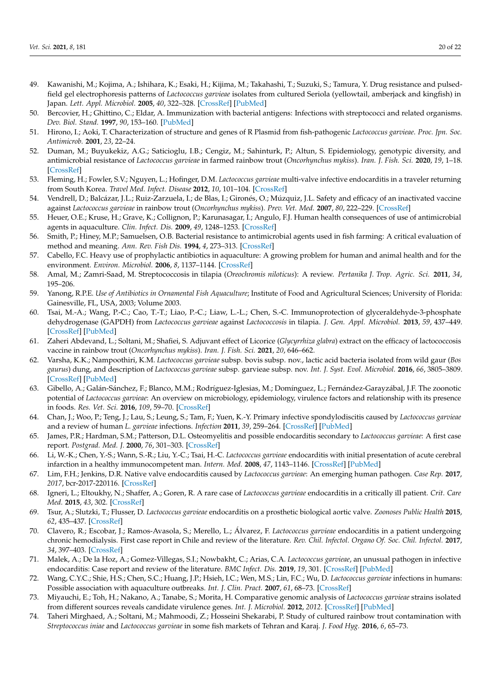- <span id="page-19-0"></span>49. Kawanishi, M.; Kojima, A.; Ishihara, K.; Esaki, H.; Kijima, M.; Takahashi, T.; Suzuki, S.; Tamura, Y. Drug resistance and pulsedfield gel electrophoresis patterns of *Lactococcus garvieae* isolates from cultured Seriola (yellowtail, amberjack and kingfish) in Japan. *Lett. Appl. Microbiol.* **2005**, *40*, 322–328. [\[CrossRef\]](http://doi.org/10.1111/j.1472-765X.2005.01690.x) [\[PubMed\]](http://www.ncbi.nlm.nih.gov/pubmed/15836733)
- <span id="page-19-1"></span>50. Bercovier, H.; Ghittino, C.; Eldar, A. Immunization with bacterial antigens: Infections with streptococci and related organisms. *Dev. Biol. Stand.* **1997**, *90*, 153–160. [\[PubMed\]](http://www.ncbi.nlm.nih.gov/pubmed/9270844)
- <span id="page-19-2"></span>51. Hirono, I.; Aoki, T. Characterization of structure and genes of R Plasmid from fish-pathogenic *Lactococcus garvieae*. *Proc. Jpn. Soc. Antimicrob.* **2001**, *23*, 22–24.
- <span id="page-19-3"></span>52. Duman, M.; Buyukekiz, A.G.; Saticioglu, I.B.; Cengiz, M.; Sahinturk, P.; Altun, S. Epidemiology, genotypic diversity, and antimicrobial resistance of *Lactococcus garvieae* in farmed rainbow trout (*Oncorhynchus mykiss*). *Iran. J. Fish. Sci.* **2020**, *19*, 1–18. [\[CrossRef\]](http://doi.org/10.22092/IJFS.2018.117609)
- <span id="page-19-4"></span>53. Fleming, H.; Fowler, S.V.; Nguyen, L.; Hofinger, D.M. *Lactococcus garvieae* multi-valve infective endocarditis in a traveler returning from South Korea. *Travel Med. Infect. Disease* **2012**, *10*, 101–104. [\[CrossRef\]](http://doi.org/10.1016/j.tmaid.2012.02.004)
- <span id="page-19-5"></span>54. Vendrell, D.; Balcázar, J.L.; Ruiz-Zarzuela, I.; de Blas, I.; Gironés, O.; Múzquiz, J.L. Safety and efficacy of an inactivated vaccine against *Lactococcus garvieae* in rainbow trout (*Oncorhynchus mykiss*). *Prev. Vet. Med.* **2007**, *80*, 222–229. [\[CrossRef\]](http://doi.org/10.1016/j.prevetmed.2007.02.008)
- <span id="page-19-6"></span>55. Heuer, O.E.; Kruse, H.; Grave, K.; Collignon, P.; Karunasagar, I.; Angulo, F.J. Human health consequences of use of antimicrobial agents in aquaculture. *Clin. Infect. Dis.* **2009**, *49*, 1248–1253. [\[CrossRef\]](http://doi.org/10.1086/605667)
- <span id="page-19-7"></span>56. Smith, P.; Hiney, M.P.; Samuelsen, O.B. Bacterial resistance to antimicrobial agents used in fish farming: A critical evaluation of method and meaning. *Ann. Rev. Fish Dis.* **1994**, *4*, 273–313. [\[CrossRef\]](http://doi.org/10.1016/0959-8030(94)90032-9)
- 57. Cabello, F.C. Heavy use of prophylactic antibiotics in aquaculture: A growing problem for human and animal health and for the environment. *Environ. Microbiol.* **2006**, *8*, 1137–1144. [\[CrossRef\]](http://doi.org/10.1111/j.1462-2920.2006.01054.x)
- 58. Amal, M.; Zamri-Saad, M. Streptococcosis in tilapia (*Oreochromis niloticus*): A review. *Pertanika J. Trop. Agric. Sci.* **2011**, *34*, 195–206.
- <span id="page-19-8"></span>59. Yanong, R.P.E. *Use of Antibiotics in Ornamental Fish Aquaculture*; Institute of Food and Agricultural Sciences; University of Florida: Gainesville, FL, USA, 2003; Volume 2003.
- <span id="page-19-9"></span>60. Tsai, M.-A.; Wang, P.-C.; Cao, T.-T.; Liao, P.-C.; Liaw, L.-L.; Chen, S.-C. Immunoprotection of glyceraldehyde-3-phosphate dehydrogenase (GAPDH) from *Lactococcus garvieae* against *Lactococcosis* in tilapia. *J. Gen. Appl. Microbiol.* **2013**, *59*, 437–449. [\[CrossRef\]](http://doi.org/10.2323/jgam.59.437) [\[PubMed\]](http://www.ncbi.nlm.nih.gov/pubmed/24492602)
- <span id="page-19-10"></span>61. Zaheri Abdevand, L.; Soltani, M.; Shafiei, S. Adjuvant effect of Licorice (*Glycyrrhiza glabra*) extract on the efficacy of lactococcosis vaccine in rainbow trout (*Oncorhynchus mykiss*). *Iran. J. Fish. Sci.* **2021**, *20*, 646–662.
- <span id="page-19-11"></span>62. Varsha, K.K.; Nampoothiri, K.M. *Lactococcus garvieae* subsp. bovis subsp. nov., lactic acid bacteria isolated from wild gaur (*Bos gaurus*) dung, and description of *Lactococcus garvieae* subsp. garvieae subsp. nov. *Int. J. Syst. Evol. Microbiol.* **2016**, *66*, 3805–3809. [\[CrossRef\]](http://doi.org/10.1099/ijsem.0.001268) [\[PubMed\]](http://www.ncbi.nlm.nih.gov/pubmed/27498541)
- <span id="page-19-12"></span>63. Gibello, A.; Galán-Sánchez, F.; Blanco, M.M.; Rodríguez-Iglesias, M.; Domínguez, L.; Fernández-Garayzábal, J.F. The zoonotic potential of *Lactococcus garvieae*: An overview on microbiology, epidemiology, virulence factors and relationship with its presence in foods. *Res. Vet. Sci.* **2016**, *109*, 59–70. [\[CrossRef\]](http://doi.org/10.1016/j.rvsc.2016.09.010)
- <span id="page-19-13"></span>64. Chan, J.; Woo, P.; Teng, J.; Lau, S.; Leung, S.; Tam, F.; Yuen, K.-Y. Primary infective spondylodiscitis caused by *Lactococcus garvieae* and a review of human *L. garvieae* infections. *Infection* **2011**, *39*, 259–264. [\[CrossRef\]](http://doi.org/10.1007/s15010-011-0094-8) [\[PubMed\]](http://www.ncbi.nlm.nih.gov/pubmed/21424437)
- <span id="page-19-14"></span>65. James, P.R.; Hardman, S.M.; Patterson, D.L. Osteomyelitis and possible endocarditis secondary to *Lactococcus garvieae*: A first case report. *Postgrad. Med. J.* **2000**, *76*, 301–303. [\[CrossRef\]](http://doi.org/10.1136/pmj.76.895.301)
- 66. Li, W.-K.; Chen, Y.-S.; Wann, S.-R.; Liu, Y.-C.; Tsai, H.-C. *Lactococcus garvieae* endocarditis with initial presentation of acute cerebral infarction in a healthy immunocompetent man. *Intern. Med.* **2008**, *47*, 1143–1146. [\[CrossRef\]](http://doi.org/10.2169/internalmedicine.47.0795) [\[PubMed\]](http://www.ncbi.nlm.nih.gov/pubmed/18552475)
- <span id="page-19-15"></span>67. Lim, F.H.; Jenkins, D.R. Native valve endocarditis caused by *Lactococcus garvieae*: An emerging human pathogen. *Case Rep.* **2017**, *2017*, bcr-2017-220116. [\[CrossRef\]](http://doi.org/10.1136/bcr-2017-220116)
- 68. Igneri, L.; Eltoukhy, N.; Shaffer, A.; Goren, R. A rare case of *Lactococcus garvieae* endocarditis in a critically ill patient. *Crit. Care Med.* **2015**, *43*, 302. [\[CrossRef\]](http://doi.org/10.1097/01.ccm.0000475031.97348.49)
- 69. Tsur, A.; Slutzki, T.; Flusser, D. *Lactococcus garvieae* endocarditis on a prosthetic biological aortic valve. *Zoonoses Public Health* **2015**, *62*, 435–437. [\[CrossRef\]](http://doi.org/10.1111/zph.12162)
- 70. Clavero, R.; Escobar, J.; Ramos-Avasola, S.; Merello, L.; Álvarez, F. *Lactococcus garvieae* endocarditis in a patient undergoing chronic hemodialysis. First case report in Chile and review of the literature. *Rev. Chil. Infectol. Organo Of. Soc. Chil. Infectol.* **2017**, *34*, 397–403. [\[CrossRef\]](http://doi.org/10.4067/s0716-10182017000400397)
- <span id="page-19-16"></span>71. Malek, A.; De la Hoz, A.; Gomez-Villegas, S.I.; Nowbakht, C.; Arias, C.A. *Lactococcus garvieae*, an unusual pathogen in infective endocarditis: Case report and review of the literature. *BMC Infect. Dis.* **2019**, *19*, 301. [\[CrossRef\]](http://doi.org/10.1186/s12879-019-3912-8) [\[PubMed\]](http://www.ncbi.nlm.nih.gov/pubmed/30943906)
- <span id="page-19-17"></span>72. Wang, C.Y.C.; Shie, H.S.; Chen, S.C.; Huang, J.P.; Hsieh, I.C.; Wen, M.S.; Lin, F.C.; Wu, D. *Lactococcus garvieae* infections in humans: Possible association with aquaculture outbreaks. *Int. J. Clin. Pract.* **2007**, *61*, 68–73. [\[CrossRef\]](http://doi.org/10.1111/j.1742-1241.2006.00855.x)
- <span id="page-19-18"></span>73. Miyauchi, E.; Toh, H.; Nakano, A.; Tanabe, S.; Morita, H. Comparative genomic analysis of *Lactococcus garvieae* strains isolated from different sources reveals candidate virulence genes. *Int. J. Microbiol.* **2012**, *2012*. [\[CrossRef\]](http://doi.org/10.1155/2012/728276) [\[PubMed\]](http://www.ncbi.nlm.nih.gov/pubmed/22649452)
- <span id="page-19-19"></span>74. Taheri Mirghaed, A.; Soltani, M.; Mahmoodi, Z.; Hosseini Shekarabi, P. Study of cultured rainbow trout contamination with *Streptococcus iniae* and *Lactococcus garvieae* in some fish markets of Tehran and Karaj. *J. Food Hyg.* **2016**, *6*, 65–73.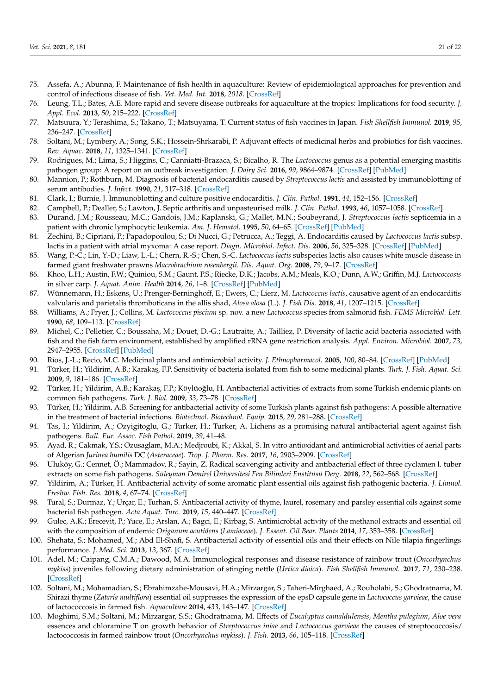- <span id="page-20-0"></span>75. Assefa, A.; Abunna, F. Maintenance of fish health in aquaculture: Review of epidemiological approaches for prevention and control of infectious disease of fish. *Vet. Med. Int.* **2018**, *2018*. [\[CrossRef\]](http://doi.org/10.1155/2018/5432497)
- <span id="page-20-1"></span>76. Leung, T.L.; Bates, A.E. More rapid and severe disease outbreaks for aquaculture at the tropics: Implications for food security. *J. Appl. Ecol.* **2013**, *50*, 215–222. [\[CrossRef\]](http://doi.org/10.1111/1365-2644.12017)
- <span id="page-20-2"></span>77. Matsuura, Y.; Terashima, S.; Takano, T.; Matsuyama, T. Current status of fish vaccines in Japan. *Fish Shellfish Immunol.* **2019**, *95*, 236–247. [\[CrossRef\]](http://doi.org/10.1016/j.fsi.2019.09.031)
- <span id="page-20-3"></span>78. Soltani, M.; Lymbery, A.; Song, S.K.; Hossein-Shrkarabi, P. Adjuvant effects of medicinal herbs and probiotics for fish vaccines. *Rev. Aquac.* **2018**, *11*, 1325–1341. [\[CrossRef\]](http://doi.org/10.1111/raq.12295)
- <span id="page-20-4"></span>79. Rodrigues, M.; Lima, S.; Higgins, C.; Canniatti-Brazaca, S.; Bicalho, R. The *Lactococcus* genus as a potential emerging mastitis pathogen group: A report on an outbreak investigation. *J. Dairy Sci.* **2016**, *99*, 9864–9874. [\[CrossRef\]](http://doi.org/10.3168/jds.2016-11143) [\[PubMed\]](http://www.ncbi.nlm.nih.gov/pubmed/27743665)
- <span id="page-20-5"></span>80. Mannion, P.; Rothburn, M. Diagnosis of bacterial endocarditis caused by *Streptococcus lactis* and assisted by immunoblotting of serum antibodies. *J. Infect.* **1990**, *21*, 317–318. [\[CrossRef\]](http://doi.org/10.1016/0163-4453(90)94149-T)
- 81. Clark, I.; Burnie, J. Immunoblotting and culture positive endocarditis. *J. Clin. Pathol.* **1991**, *44*, 152–156. [\[CrossRef\]](http://doi.org/10.1136/jcp.44.2.152)
- 82. Campbell, P.; Dealler, S.; Lawton, J. Septic arthritis and unpasteurised milk. *J. Clin. Pathol.* **1993**, *46*, 1057–1058. [\[CrossRef\]](http://doi.org/10.1136/jcp.46.11.1057)
- 83. Durand, J.M.; Rousseau, M.C.; Gandois, J.M.; Kaplanski, G.; Mallet, M.N.; Soubeyrand, J. *Streptococcus lactis* septicemia in a patient with chronic lymphocytic leukemia. *Am. J. Hematol.* **1995**, *50*, 64–65. [\[CrossRef\]](http://doi.org/10.1002/ajh.2830500116) [\[PubMed\]](http://www.ncbi.nlm.nih.gov/pubmed/7668230)
- <span id="page-20-6"></span>84. Zechini, B.; Cipriani, P.; Papadopoulou, S.; Di Nucci, G.; Petrucca, A.; Teggi, A. Endocarditis caused by *Lactococcus lactis* subsp. lactis in a patient with atrial myxoma: A case report. *Diagn. Microbiol. Infect. Dis.* **2006**, *56*, 325–328. [\[CrossRef\]](http://doi.org/10.1016/j.diagmicrobio.2006.04.011) [\[PubMed\]](http://www.ncbi.nlm.nih.gov/pubmed/16757143)
- <span id="page-20-7"></span>85. Wang, P.-C.; Lin, Y.-D.; Liaw, L.-L.; Chern, R.-S.; Chen, S.-C. *Lactococcus lactis* subspecies lactis also causes white muscle disease in farmed giant freshwater prawns *Macrobrachium rosenbergii*. *Dis. Aquat. Org.* **2008**, *79*, 9–17. [\[CrossRef\]](http://doi.org/10.3354/dao01868)
- <span id="page-20-8"></span>86. Khoo, L.H.; Austin, F.W.; Quiniou, S.M.; Gaunt, P.S.; Riecke, D.K.; Jacobs, A.M.; Meals, K.O.; Dunn, A.W.; Griffin, M.J. *Lactococcosis* in silver carp. *J. Aquat. Anim. Health* **2014**, *26*, 1–8. [\[CrossRef\]](http://doi.org/10.1080/08997659.2013.837118) [\[PubMed\]](http://www.ncbi.nlm.nih.gov/pubmed/24689953)
- <span id="page-20-9"></span>87. Wünnemann, H.; Eskens, U.; Prenger-Berninghoff, E.; Ewers, C.; Lierz, M. *Lactococcus lactis*, causative agent of an endocarditis valvularis and parietalis thromboticans in the allis shad, *Alosa alosa* (L.). *J. Fish Dis.* **2018**, *41*, 1207–1215. [\[CrossRef\]](http://doi.org/10.1111/jfd.12813)
- <span id="page-20-10"></span>88. Williams, A.; Fryer, J.; Collins, M. *Lactococcus piscium* sp. nov. a new *Lactococcus* species from salmonid fish. *FEMS Microbiol. Lett.* **1990**, *68*, 109–113. [\[CrossRef\]](http://doi.org/10.1111/j.1574-6968.1990.tb04132.x)
- <span id="page-20-11"></span>89. Michel, C.; Pelletier, C.; Boussaha, M.; Douet, D.-G.; Lautraite, A.; Tailliez, P. Diversity of lactic acid bacteria associated with fish and the fish farm environment, established by amplified rRNA gene restriction analysis. *Appl. Environ. Microbiol.* **2007**, *73*, 2947–2955. [\[CrossRef\]](http://doi.org/10.1128/AEM.01852-06) [\[PubMed\]](http://www.ncbi.nlm.nih.gov/pubmed/17337536)
- <span id="page-20-12"></span>90. Ríos, J.-L.; Recio, M.C. Medicinal plants and antimicrobial activity. *J. Ethnopharmacol.* **2005**, *100*, 80–84. [\[CrossRef\]](http://doi.org/10.1016/j.jep.2005.04.025) [\[PubMed\]](http://www.ncbi.nlm.nih.gov/pubmed/15964727)
- <span id="page-20-13"></span>91. Türker, H.; Yildirim, A.B.; Karakaş, F.P. Sensitivity of bacteria isolated from fish to some medicinal plants. *Turk. J. Fish. Aquat. Sci.* **2009**, *9*, 181–186. [\[CrossRef\]](http://doi.org/10.4194/trjfas.2009.0209)
- <span id="page-20-15"></span>92. Türker, H.; Yildirim, A.B.; Karakaş, F.P.; Köylüoğlu, H. Antibacterial activities of extracts from some Turkish endemic plants on common fish pathogens. *Turk. J. Biol.* **2009**, *33*, 73–78. [\[CrossRef\]](http://doi.org/10.3906/biy-0805-18)
- <span id="page-20-14"></span>93. Türker, H.; Yildirim, A.B. Screening for antibacterial activity of some Turkish plants against fish pathogens: A possible alternative in the treatment of bacterial infections. *Biotechnol. Biotechnol. Equip.* **2015**, *29*, 281–288. [\[CrossRef\]](http://doi.org/10.1080/13102818.2015.1006445)
- <span id="page-20-16"></span>94. Tas, I.; Yildirim, A.; Ozyigitoglu, G.; Turker, H.; Turker, A. Lichens as a promising natural antibacterial agent against fish pathogens. *Bull. Eur. Assoc. Fish Pathol.* **2019**, *39*, 41–48.
- <span id="page-20-17"></span>95. Ayad, R.; Cakmak, Y.S.; Ozusaglam, M.A.; Medjroubi, K.; Akkal, S. In vitro antioxidant and antimicrobial activities of aerial parts of Algerian *Jurinea humilis* DC (*Asteraceae*). *Trop. J. Pharm. Res.* **2017**, *16*, 2903–2909. [\[CrossRef\]](http://doi.org/10.4314/tjpr.v16i12.14)
- <span id="page-20-18"></span>96. Uluköy, G.; Cennet, Ö.; Mammadov, R.; Sayin, Z. Radical scavenging activity and antibacterial effect of three cyclamen l. tuber extracts on some fish pathogens. *Süleyman Demirel Üniversitesi Fen Bilimleri Enstitüsü Derg.* **2018**, *22*, 562–568. [\[CrossRef\]](http://doi.org/10.19113/sdufbed.65047)
- <span id="page-20-19"></span>97. Yildirim, A.; Türker, H. Antibacterial activity of some aromatic plant essential oils against fish pathogenic bacteria. *J. Limnol. Freshw. Fish. Res.* **2018**, *4*, 67–74. [\[CrossRef\]](http://doi.org/10.17216/limnofish.379784)
- <span id="page-20-20"></span>98. Tural, S.; Durmaz, Y.; Urçar, E.; Turhan, S. Antibacterial activity of thyme, laurel, rosemary and parsley essential oils against some bacterial fish pathogen. *Acta Aquat. Turc.* **2019**, *15*, 440–447. [\[CrossRef\]](http://doi.org/10.22392/actaquatr.549380)
- <span id="page-20-21"></span>99. Gulec, A.K.; Erecevit, P.; Yuce, E.; Arslan, A.; Bagci, E.; Kirbag, S. Antimicrobial activity of the methanol extracts and essential oil with the composition of endemic *Origanum acutidens* (*Lamiaceae*). *J. Essent. Oil Bear. Plants* **2014**, *17*, 353–358. [\[CrossRef\]](http://doi.org/10.1080/0972060X.2014.884770)
- <span id="page-20-22"></span>100. Shehata, S.; Mohamed, M.; Abd El-Shafi, S. Antibacterial activity of essential oils and their effects on Nile tilapia fingerlings performance. *J. Med. Sci.* **2013**, *13*, 367. [\[CrossRef\]](http://doi.org/10.3923/jms.2013.367.372)
- <span id="page-20-23"></span>101. Adel, M.; Caipang, C.M.A.; Dawood, M.A. Immunological responses and disease resistance of rainbow trout (*Oncorhynchus mykiss*) juveniles following dietary administration of stinging nettle (*Urtica dioica*). *Fish Shellfish Immunol.* **2017**, *71*, 230–238. [\[CrossRef\]](http://doi.org/10.1016/j.fsi.2017.10.016)
- <span id="page-20-24"></span>102. Soltani, M.; Mohamadian, S.; Ebrahimzahe-Mousavi, H.A.; Mirzargar, S.; Taheri-Mirghaed, A.; Rouholahi, S.; Ghodratnama, M. Shirazi thyme (*Zataria multiflora*) essential oil suppresses the expression of the epsD capsule gene in *Lactococcus garvieae*, the cause of lactococcosis in farmed fish. *Aquaculture* **2014**, *433*, 143–147. [\[CrossRef\]](http://doi.org/10.1016/j.aquaculture.2014.05.024)
- <span id="page-20-25"></span>103. Moghimi, S.M.; Soltani, M.; Mirzargar, S.S.; Ghodratnama, M. Effects of *Eucalyptus camaldulensis*, *Mentha pulegium*, *Aloe vera* essences and chloramine T on growth behavior of *Streptococcus iniae* and *Lactococcus garvieae* the causes of streptococcosis/ lactococcosis in farmed rainbow trout (*Oncorhynchus mykiss*). *J. Fish.* **2013**, *66*, 105–118. [\[CrossRef\]](http://doi.org/10.22059/JFISHERIES.2013.35468)